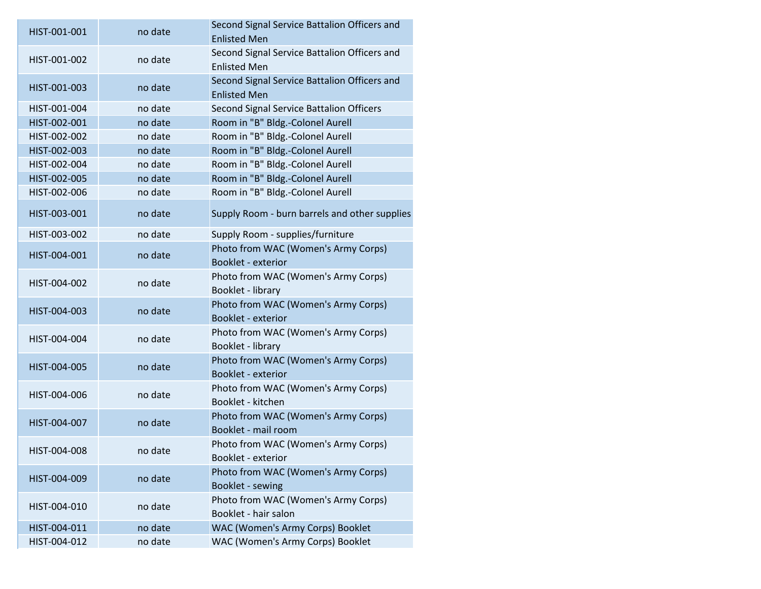| HIST-001-001 | no date | Second Signal Service Battalion Officers and<br><b>Enlisted Men</b> |
|--------------|---------|---------------------------------------------------------------------|
| HIST-001-002 | no date | Second Signal Service Battalion Officers and<br><b>Enlisted Men</b> |
| HIST-001-003 | no date | Second Signal Service Battalion Officers and<br><b>Enlisted Men</b> |
| HIST-001-004 | no date | Second Signal Service Battalion Officers                            |
| HIST-002-001 | no date | Room in "B" Bldg.-Colonel Aurell                                    |
| HIST-002-002 | no date | Room in "B" Bldg.-Colonel Aurell                                    |
| HIST-002-003 | no date | Room in "B" Bldg.-Colonel Aurell                                    |
| HIST-002-004 | no date | Room in "B" Bldg.-Colonel Aurell                                    |
| HIST-002-005 | no date | Room in "B" Bldg.-Colonel Aurell                                    |
| HIST-002-006 | no date | Room in "B" Bldg.-Colonel Aurell                                    |
| HIST-003-001 | no date | Supply Room - burn barrels and other supplies                       |
| HIST-003-002 | no date | Supply Room - supplies/furniture                                    |
| HIST-004-001 | no date | Photo from WAC (Women's Army Corps)<br>Booklet - exterior           |
| HIST-004-002 | no date | Photo from WAC (Women's Army Corps)<br>Booklet - library            |
| HIST-004-003 | no date | Photo from WAC (Women's Army Corps)<br>Booklet - exterior           |
| HIST-004-004 | no date | Photo from WAC (Women's Army Corps)<br>Booklet - library            |
| HIST-004-005 | no date | Photo from WAC (Women's Army Corps)<br>Booklet - exterior           |
| HIST-004-006 | no date | Photo from WAC (Women's Army Corps)<br>Booklet - kitchen            |
| HIST-004-007 | no date | Photo from WAC (Women's Army Corps)<br>Booklet - mail room          |
| HIST-004-008 | no date | Photo from WAC (Women's Army Corps)<br>Booklet - exterior           |
| HIST-004-009 | no date | Photo from WAC (Women's Army Corps)<br>Booklet - sewing             |
| HIST-004-010 | no date | Photo from WAC (Women's Army Corps)<br>Booklet - hair salon         |
| HIST-004-011 | no date | WAC (Women's Army Corps) Booklet                                    |
| HIST-004-012 | no date | WAC (Women's Army Corps) Booklet                                    |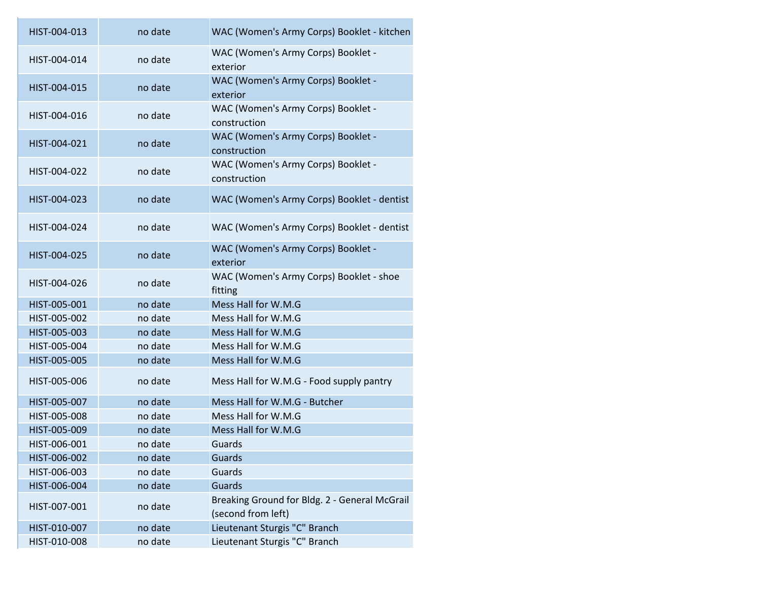| HIST-004-013 | no date | WAC (Women's Army Corps) Booklet - kitchen                          |
|--------------|---------|---------------------------------------------------------------------|
| HIST-004-014 | no date | WAC (Women's Army Corps) Booklet -<br>exterior                      |
| HIST-004-015 | no date | WAC (Women's Army Corps) Booklet -<br>exterior                      |
| HIST-004-016 | no date | WAC (Women's Army Corps) Booklet -<br>construction                  |
| HIST-004-021 | no date | WAC (Women's Army Corps) Booklet -<br>construction                  |
| HIST-004-022 | no date | WAC (Women's Army Corps) Booklet -<br>construction                  |
| HIST-004-023 | no date | WAC (Women's Army Corps) Booklet - dentist                          |
| HIST-004-024 | no date | WAC (Women's Army Corps) Booklet - dentist                          |
| HIST-004-025 | no date | WAC (Women's Army Corps) Booklet -<br>exterior                      |
| HIST-004-026 | no date | WAC (Women's Army Corps) Booklet - shoe<br>fitting                  |
| HIST-005-001 | no date | Mess Hall for W.M.G                                                 |
| HIST-005-002 | no date | Mess Hall for W.M.G                                                 |
| HIST-005-003 | no date | Mess Hall for W.M.G                                                 |
| HIST-005-004 | no date | Mess Hall for W.M.G                                                 |
| HIST-005-005 | no date | Mess Hall for W.M.G                                                 |
| HIST-005-006 | no date | Mess Hall for W.M.G - Food supply pantry                            |
| HIST-005-007 | no date | Mess Hall for W.M.G - Butcher                                       |
| HIST-005-008 | no date | Mess Hall for W.M.G                                                 |
| HIST-005-009 | no date | Mess Hall for W.M.G                                                 |
| HIST-006-001 | no date | Guards                                                              |
| HIST-006-002 | no date | Guards                                                              |
| HIST-006-003 | no date | Guards                                                              |
| HIST-006-004 | no date | Guards                                                              |
| HIST-007-001 | no date | Breaking Ground for Bldg. 2 - General McGrail<br>(second from left) |
| HIST-010-007 | no date | Lieutenant Sturgis "C" Branch                                       |
| HIST-010-008 | no date | Lieutenant Sturgis "C" Branch                                       |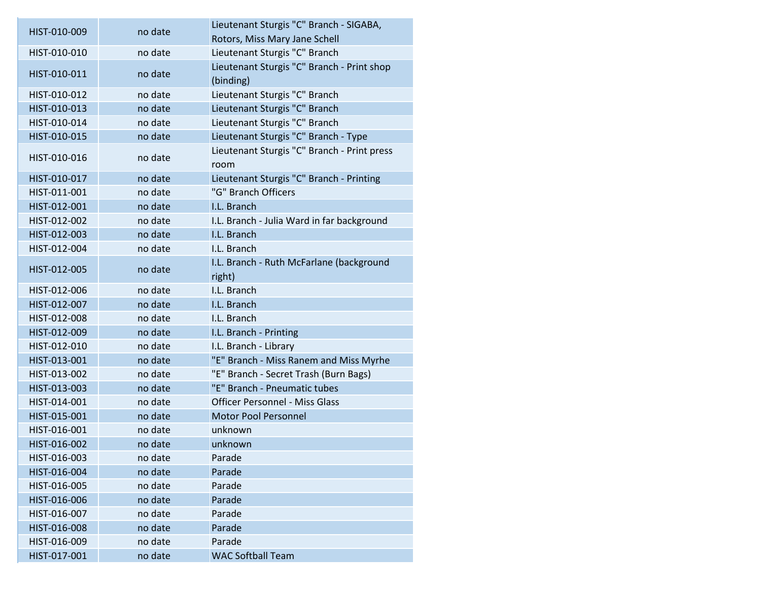| HIST-010-009 | no date | Lieutenant Sturgis "C" Branch - SIGABA,                 |
|--------------|---------|---------------------------------------------------------|
|              |         | Rotors, Miss Mary Jane Schell                           |
| HIST-010-010 | no date | Lieutenant Sturgis "C" Branch                           |
| HIST-010-011 | no date | Lieutenant Sturgis "C" Branch - Print shop<br>(binding) |
| HIST-010-012 | no date | Lieutenant Sturgis "C" Branch                           |
| HIST-010-013 | no date | Lieutenant Sturgis "C" Branch                           |
| HIST-010-014 | no date | Lieutenant Sturgis "C" Branch                           |
| HIST-010-015 | no date | Lieutenant Sturgis "C" Branch - Type                    |
| HIST-010-016 | no date | Lieutenant Sturgis "C" Branch - Print press<br>room     |
| HIST-010-017 | no date | Lieutenant Sturgis "C" Branch - Printing                |
| HIST-011-001 | no date | "G" Branch Officers                                     |
| HIST-012-001 | no date | I.L. Branch                                             |
| HIST-012-002 | no date | I.L. Branch - Julia Ward in far background              |
| HIST-012-003 | no date | I.L. Branch                                             |
| HIST-012-004 | no date | I.L. Branch                                             |
| HIST-012-005 |         | I.L. Branch - Ruth McFarlane (background                |
|              | no date | right)                                                  |
| HIST-012-006 | no date | I.L. Branch                                             |
| HIST-012-007 | no date | I.L. Branch                                             |
| HIST-012-008 | no date | I.L. Branch                                             |
| HIST-012-009 | no date | I.L. Branch - Printing                                  |
| HIST-012-010 | no date | I.L. Branch - Library                                   |
| HIST-013-001 | no date | "E" Branch - Miss Ranem and Miss Myrhe                  |
| HIST-013-002 | no date | "E" Branch - Secret Trash (Burn Bags)                   |
| HIST-013-003 | no date | "E" Branch - Pneumatic tubes                            |
| HIST-014-001 | no date | <b>Officer Personnel - Miss Glass</b>                   |
| HIST-015-001 | no date | <b>Motor Pool Personnel</b>                             |
| HIST-016-001 | no date | unknown                                                 |
| HIST-016-002 | no date | unknown                                                 |
| HIST-016-003 | no date | Parade                                                  |
| HIST-016-004 | no date | Parade                                                  |
| HIST-016-005 | no date | Parade                                                  |
| HIST-016-006 | no date | Parade                                                  |
| HIST-016-007 | no date | Parade                                                  |
| HIST-016-008 | no date | Parade                                                  |
| HIST-016-009 | no date | Parade                                                  |
| HIST-017-001 | no date | <b>WAC Softball Team</b>                                |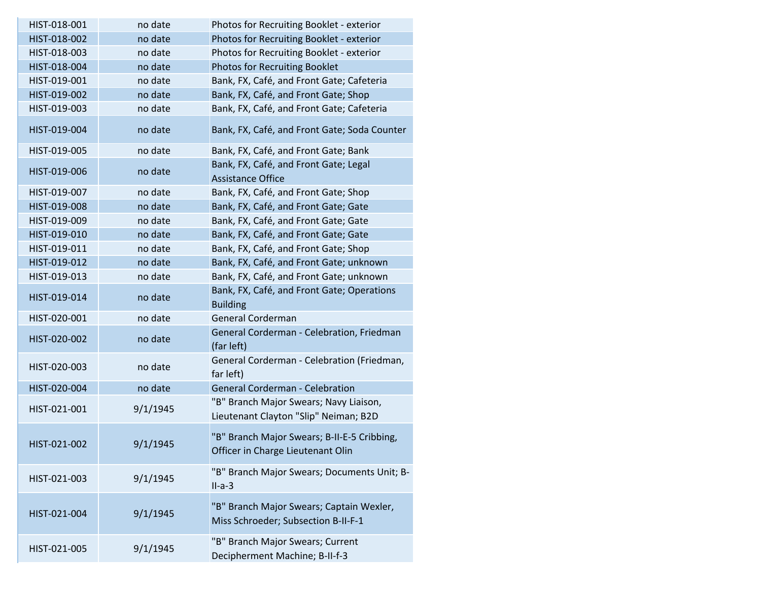| HIST-018-001 | no date  | Photos for Recruiting Booklet - exterior                                         |
|--------------|----------|----------------------------------------------------------------------------------|
| HIST-018-002 | no date  | Photos for Recruiting Booklet - exterior                                         |
| HIST-018-003 | no date  | Photos for Recruiting Booklet - exterior                                         |
| HIST-018-004 | no date  | <b>Photos for Recruiting Booklet</b>                                             |
| HIST-019-001 | no date  | Bank, FX, Café, and Front Gate; Cafeteria                                        |
| HIST-019-002 | no date  | Bank, FX, Café, and Front Gate; Shop                                             |
| HIST-019-003 | no date  | Bank, FX, Café, and Front Gate; Cafeteria                                        |
| HIST-019-004 | no date  | Bank, FX, Café, and Front Gate; Soda Counter                                     |
| HIST-019-005 | no date  | Bank, FX, Café, and Front Gate; Bank                                             |
| HIST-019-006 | no date  | Bank, FX, Café, and Front Gate; Legal<br><b>Assistance Office</b>                |
| HIST-019-007 | no date  | Bank, FX, Café, and Front Gate; Shop                                             |
| HIST-019-008 | no date  | Bank, FX, Café, and Front Gate; Gate                                             |
| HIST-019-009 | no date  | Bank, FX, Café, and Front Gate; Gate                                             |
| HIST-019-010 | no date  | Bank, FX, Café, and Front Gate; Gate                                             |
| HIST-019-011 | no date  | Bank, FX, Café, and Front Gate; Shop                                             |
| HIST-019-012 | no date  | Bank, FX, Café, and Front Gate; unknown                                          |
| HIST-019-013 | no date  | Bank, FX, Café, and Front Gate; unknown                                          |
| HIST-019-014 | no date  | Bank, FX, Café, and Front Gate; Operations<br><b>Building</b>                    |
| HIST-020-001 | no date  | General Corderman                                                                |
| HIST-020-002 | no date  | General Corderman - Celebration, Friedman<br>(far left)                          |
| HIST-020-003 | no date  | General Corderman - Celebration (Friedman,<br>far left)                          |
| HIST-020-004 | no date  | <b>General Corderman - Celebration</b>                                           |
| HIST-021-001 | 9/1/1945 | "B" Branch Major Swears; Navy Liaison,<br>Lieutenant Clayton "Slip" Neiman; B2D  |
| HIST-021-002 | 9/1/1945 | "B" Branch Major Swears; B-II-E-5 Cribbing,<br>Officer in Charge Lieutenant Olin |
| HIST-021-003 | 9/1/1945 | "B" Branch Major Swears; Documents Unit; B-<br>$II-a-3$                          |
| HIST-021-004 | 9/1/1945 | "B" Branch Major Swears; Captain Wexler,<br>Miss Schroeder; Subsection B-II-F-1  |
| HIST-021-005 | 9/1/1945 | "B" Branch Major Swears; Current<br>Decipherment Machine; B-II-f-3               |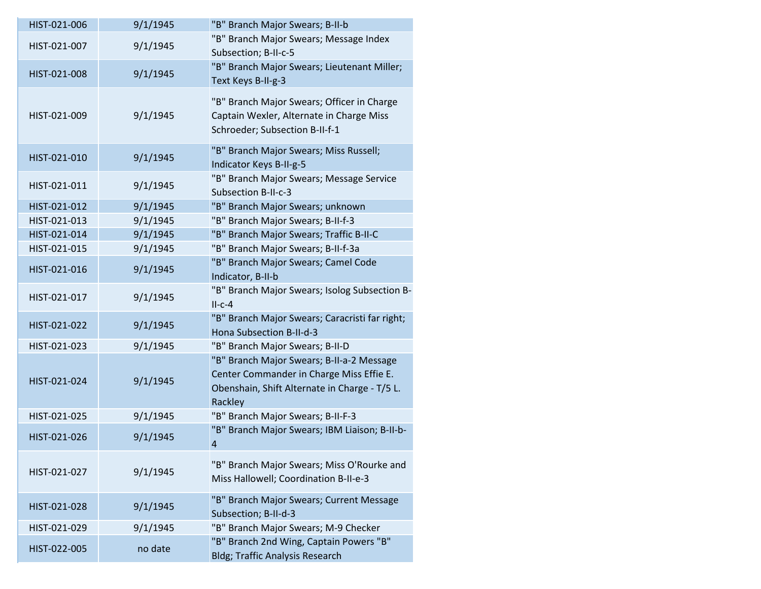| HIST-021-006 | 9/1/1945 | "B" Branch Major Swears; B-II-b                                                                                                                   |
|--------------|----------|---------------------------------------------------------------------------------------------------------------------------------------------------|
| HIST-021-007 | 9/1/1945 | "B" Branch Major Swears; Message Index<br>Subsection; B-II-c-5                                                                                    |
| HIST-021-008 | 9/1/1945 | "B" Branch Major Swears; Lieutenant Miller;<br>Text Keys B-II-g-3                                                                                 |
| HIST-021-009 | 9/1/1945 | "B" Branch Major Swears; Officer in Charge<br>Captain Wexler, Alternate in Charge Miss<br>Schroeder; Subsection B-II-f-1                          |
| HIST-021-010 | 9/1/1945 | "B" Branch Major Swears; Miss Russell;<br>Indicator Keys B-II-g-5                                                                                 |
| HIST-021-011 | 9/1/1945 | "B" Branch Major Swears; Message Service<br>Subsection B-II-c-3                                                                                   |
| HIST-021-012 | 9/1/1945 | "B" Branch Major Swears; unknown                                                                                                                  |
| HIST-021-013 | 9/1/1945 | "B" Branch Major Swears; B-II-f-3                                                                                                                 |
| HIST-021-014 | 9/1/1945 | "B" Branch Major Swears; Traffic B-II-C                                                                                                           |
| HIST-021-015 | 9/1/1945 | "B" Branch Major Swears; B-II-f-3a                                                                                                                |
| HIST-021-016 | 9/1/1945 | "B" Branch Major Swears; Camel Code<br>Indicator, B-II-b                                                                                          |
| HIST-021-017 | 9/1/1945 | "B" Branch Major Swears; Isolog Subsection B-<br>$II-c-4$                                                                                         |
| HIST-021-022 | 9/1/1945 | "B" Branch Major Swears; Caracristi far right;<br>Hona Subsection B-II-d-3                                                                        |
| HIST-021-023 | 9/1/1945 | "B" Branch Major Swears; B-II-D                                                                                                                   |
| HIST-021-024 | 9/1/1945 | "B" Branch Major Swears; B-II-a-2 Message<br>Center Commander in Charge Miss Effie E.<br>Obenshain, Shift Alternate in Charge - T/5 L.<br>Rackley |
| HIST-021-025 | 9/1/1945 | "B" Branch Major Swears; B-II-F-3                                                                                                                 |
| HIST-021-026 | 9/1/1945 | "B" Branch Major Swears; IBM Liaison; B-II-b-<br>$\overline{a}$                                                                                   |
| HIST-021-027 | 9/1/1945 | "B" Branch Major Swears; Miss O'Rourke and<br>Miss Hallowell; Coordination B-II-e-3                                                               |
| HIST-021-028 | 9/1/1945 | "B" Branch Major Swears; Current Message<br>Subsection; B-II-d-3                                                                                  |
| HIST-021-029 | 9/1/1945 | "B" Branch Major Swears; M-9 Checker                                                                                                              |
| HIST-022-005 | no date  | "B" Branch 2nd Wing, Captain Powers "B"<br><b>Bldg; Traffic Analysis Research</b>                                                                 |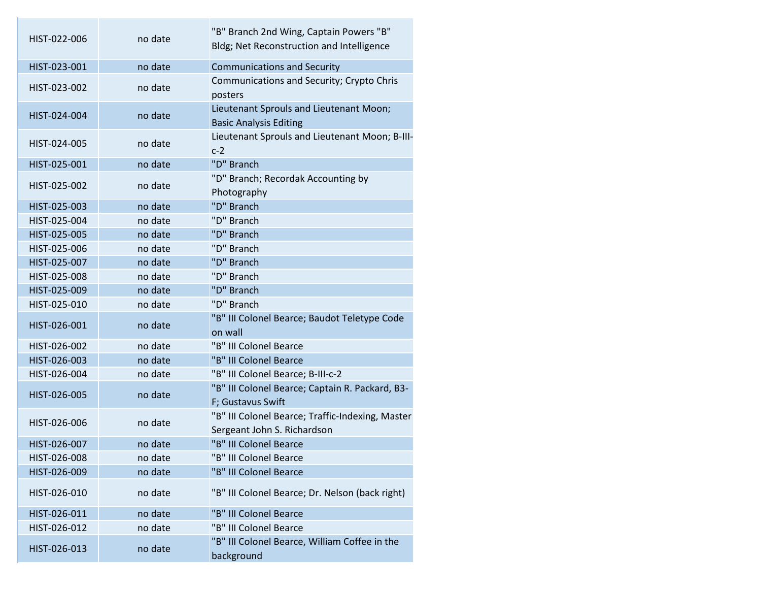| HIST-022-006 | no date | "B" Branch 2nd Wing, Captain Powers "B"<br>Bldg; Net Reconstruction and Intelligence |
|--------------|---------|--------------------------------------------------------------------------------------|
| HIST-023-001 | no date | <b>Communications and Security</b>                                                   |
| HIST-023-002 | no date | Communications and Security; Crypto Chris<br>posters                                 |
| HIST-024-004 | no date | Lieutenant Sprouls and Lieutenant Moon;<br><b>Basic Analysis Editing</b>             |
| HIST-024-005 | no date | Lieutenant Sprouls and Lieutenant Moon; B-III-<br>$c-2$                              |
| HIST-025-001 | no date | "D" Branch                                                                           |
| HIST-025-002 | no date | "D" Branch; Recordak Accounting by<br>Photography                                    |
| HIST-025-003 | no date | "D" Branch                                                                           |
| HIST-025-004 | no date | "D" Branch                                                                           |
| HIST-025-005 | no date | "D" Branch                                                                           |
| HIST-025-006 | no date | "D" Branch                                                                           |
| HIST-025-007 | no date | "D" Branch                                                                           |
| HIST-025-008 | no date | "D" Branch                                                                           |
| HIST-025-009 | no date | "D" Branch                                                                           |
| HIST-025-010 | no date | "D" Branch                                                                           |
| HIST-026-001 | no date | "B" III Colonel Bearce; Baudot Teletype Code<br>on wall                              |
| HIST-026-002 | no date | "B" III Colonel Bearce                                                               |
| HIST-026-003 | no date | "B" III Colonel Bearce                                                               |
| HIST-026-004 | no date | "B" III Colonel Bearce; B-III-c-2                                                    |
| HIST-026-005 | no date | "B" III Colonel Bearce; Captain R. Packard, B3-<br>F; Gustavus Swift                 |
| HIST-026-006 | no date | "B" III Colonel Bearce; Traffic-Indexing, Master<br>Sergeant John S. Richardson      |
| HIST-026-007 | no date | "B" III Colonel Bearce                                                               |
| HIST-026-008 | no date | "B" III Colonel Bearce                                                               |
| HIST-026-009 | no date | "B" III Colonel Bearce                                                               |
| HIST-026-010 | no date | "B" III Colonel Bearce; Dr. Nelson (back right)                                      |
| HIST-026-011 | no date | "B" III Colonel Bearce                                                               |
| HIST-026-012 | no date | "B" III Colonel Bearce                                                               |
| HIST-026-013 | no date | "B" III Colonel Bearce, William Coffee in the<br>background                          |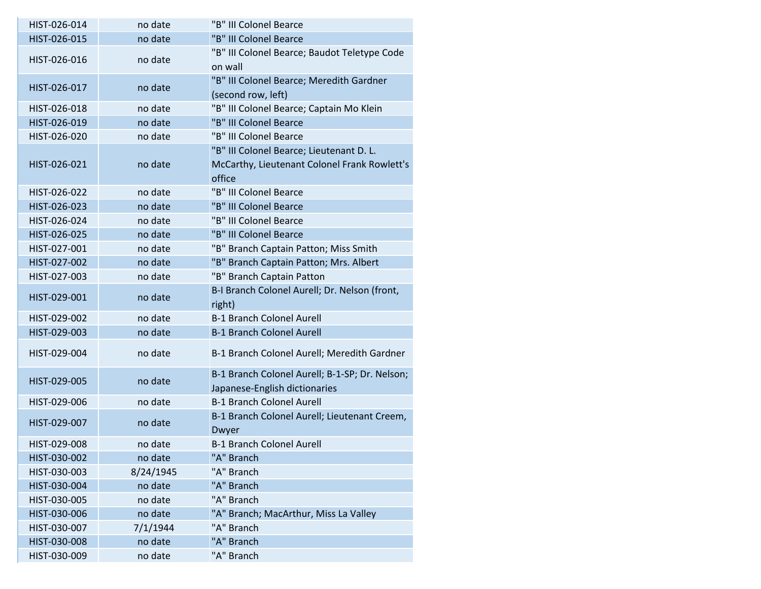| "B" III Colonel Bearce<br>HIST-026-015<br>no date<br>"B" III Colonel Bearce; Baudot Teletype Code<br>HIST-026-016<br>no date<br>on wall<br>"B" III Colonel Bearce; Meredith Gardner<br>HIST-026-017<br>no date<br>(second row, left)<br>"B" III Colonel Bearce; Captain Mo Klein<br>HIST-026-018<br>no date<br>"B" III Colonel Bearce<br>HIST-026-019<br>no date<br>"B" III Colonel Bearce<br>HIST-026-020<br>no date<br>"B" III Colonel Bearce; Lieutenant D. L.<br>McCarthy, Lieutenant Colonel Frank Rowlett's<br>HIST-026-021<br>no date<br>office<br>"B" III Colonel Bearce<br>HIST-026-022<br>no date<br>"B" III Colonel Bearce<br>HIST-026-023<br>no date<br>HIST-026-024<br>"B" III Colonel Bearce<br>no date<br>"B" III Colonel Bearce<br>HIST-026-025<br>no date<br>"B" Branch Captain Patton; Miss Smith<br>HIST-027-001<br>no date | HIST-026-014 | no date | "B" III Colonel Bearce                 |
|------------------------------------------------------------------------------------------------------------------------------------------------------------------------------------------------------------------------------------------------------------------------------------------------------------------------------------------------------------------------------------------------------------------------------------------------------------------------------------------------------------------------------------------------------------------------------------------------------------------------------------------------------------------------------------------------------------------------------------------------------------------------------------------------------------------------------------------------|--------------|---------|----------------------------------------|
|                                                                                                                                                                                                                                                                                                                                                                                                                                                                                                                                                                                                                                                                                                                                                                                                                                                |              |         |                                        |
|                                                                                                                                                                                                                                                                                                                                                                                                                                                                                                                                                                                                                                                                                                                                                                                                                                                |              |         |                                        |
|                                                                                                                                                                                                                                                                                                                                                                                                                                                                                                                                                                                                                                                                                                                                                                                                                                                |              |         |                                        |
|                                                                                                                                                                                                                                                                                                                                                                                                                                                                                                                                                                                                                                                                                                                                                                                                                                                |              |         |                                        |
|                                                                                                                                                                                                                                                                                                                                                                                                                                                                                                                                                                                                                                                                                                                                                                                                                                                |              |         |                                        |
|                                                                                                                                                                                                                                                                                                                                                                                                                                                                                                                                                                                                                                                                                                                                                                                                                                                |              |         |                                        |
|                                                                                                                                                                                                                                                                                                                                                                                                                                                                                                                                                                                                                                                                                                                                                                                                                                                |              |         |                                        |
|                                                                                                                                                                                                                                                                                                                                                                                                                                                                                                                                                                                                                                                                                                                                                                                                                                                |              |         |                                        |
|                                                                                                                                                                                                                                                                                                                                                                                                                                                                                                                                                                                                                                                                                                                                                                                                                                                |              |         |                                        |
|                                                                                                                                                                                                                                                                                                                                                                                                                                                                                                                                                                                                                                                                                                                                                                                                                                                |              |         |                                        |
|                                                                                                                                                                                                                                                                                                                                                                                                                                                                                                                                                                                                                                                                                                                                                                                                                                                |              |         |                                        |
|                                                                                                                                                                                                                                                                                                                                                                                                                                                                                                                                                                                                                                                                                                                                                                                                                                                |              |         |                                        |
|                                                                                                                                                                                                                                                                                                                                                                                                                                                                                                                                                                                                                                                                                                                                                                                                                                                |              |         |                                        |
|                                                                                                                                                                                                                                                                                                                                                                                                                                                                                                                                                                                                                                                                                                                                                                                                                                                |              |         |                                        |
|                                                                                                                                                                                                                                                                                                                                                                                                                                                                                                                                                                                                                                                                                                                                                                                                                                                |              |         |                                        |
|                                                                                                                                                                                                                                                                                                                                                                                                                                                                                                                                                                                                                                                                                                                                                                                                                                                |              |         |                                        |
|                                                                                                                                                                                                                                                                                                                                                                                                                                                                                                                                                                                                                                                                                                                                                                                                                                                | HIST-027-002 | no date | "B" Branch Captain Patton; Mrs. Albert |
| "B" Branch Captain Patton<br>HIST-027-003<br>no date                                                                                                                                                                                                                                                                                                                                                                                                                                                                                                                                                                                                                                                                                                                                                                                           |              |         |                                        |
| B-I Branch Colonel Aurell; Dr. Nelson (front,<br>HIST-029-001<br>no date                                                                                                                                                                                                                                                                                                                                                                                                                                                                                                                                                                                                                                                                                                                                                                       |              |         |                                        |
| right)                                                                                                                                                                                                                                                                                                                                                                                                                                                                                                                                                                                                                                                                                                                                                                                                                                         |              |         |                                        |
| <b>B-1 Branch Colonel Aurell</b><br>HIST-029-002<br>no date                                                                                                                                                                                                                                                                                                                                                                                                                                                                                                                                                                                                                                                                                                                                                                                    |              |         |                                        |
| <b>B-1 Branch Colonel Aurell</b><br>HIST-029-003<br>no date                                                                                                                                                                                                                                                                                                                                                                                                                                                                                                                                                                                                                                                                                                                                                                                    |              |         |                                        |
| HIST-029-004<br>no date<br>B-1 Branch Colonel Aurell; Meredith Gardner                                                                                                                                                                                                                                                                                                                                                                                                                                                                                                                                                                                                                                                                                                                                                                         |              |         |                                        |
| B-1 Branch Colonel Aurell; B-1-SP; Dr. Nelson;<br>no date<br>HIST-029-005                                                                                                                                                                                                                                                                                                                                                                                                                                                                                                                                                                                                                                                                                                                                                                      |              |         |                                        |
| Japanese-English dictionaries                                                                                                                                                                                                                                                                                                                                                                                                                                                                                                                                                                                                                                                                                                                                                                                                                  |              |         |                                        |
| <b>B-1 Branch Colonel Aurell</b><br>HIST-029-006<br>no date                                                                                                                                                                                                                                                                                                                                                                                                                                                                                                                                                                                                                                                                                                                                                                                    |              |         |                                        |
| B-1 Branch Colonel Aurell; Lieutenant Creem,<br>HIST-029-007<br>no date<br>Dwyer                                                                                                                                                                                                                                                                                                                                                                                                                                                                                                                                                                                                                                                                                                                                                               |              |         |                                        |
| <b>B-1 Branch Colonel Aurell</b><br>HIST-029-008<br>no date                                                                                                                                                                                                                                                                                                                                                                                                                                                                                                                                                                                                                                                                                                                                                                                    |              |         |                                        |
| "A" Branch<br>HIST-030-002<br>no date                                                                                                                                                                                                                                                                                                                                                                                                                                                                                                                                                                                                                                                                                                                                                                                                          |              |         |                                        |
| "A" Branch<br>8/24/1945<br>HIST-030-003                                                                                                                                                                                                                                                                                                                                                                                                                                                                                                                                                                                                                                                                                                                                                                                                        |              |         |                                        |
| "A" Branch<br>HIST-030-004<br>no date                                                                                                                                                                                                                                                                                                                                                                                                                                                                                                                                                                                                                                                                                                                                                                                                          |              |         |                                        |
| "A" Branch<br>HIST-030-005<br>no date                                                                                                                                                                                                                                                                                                                                                                                                                                                                                                                                                                                                                                                                                                                                                                                                          |              |         |                                        |
| "A" Branch; MacArthur, Miss La Valley<br>HIST-030-006<br>no date                                                                                                                                                                                                                                                                                                                                                                                                                                                                                                                                                                                                                                                                                                                                                                               |              |         |                                        |
| 7/1/1944<br>"A" Branch<br>HIST-030-007                                                                                                                                                                                                                                                                                                                                                                                                                                                                                                                                                                                                                                                                                                                                                                                                         |              |         |                                        |
| HIST-030-008<br>"A" Branch<br>no date                                                                                                                                                                                                                                                                                                                                                                                                                                                                                                                                                                                                                                                                                                                                                                                                          |              |         |                                        |
| HIST-030-009<br>no date<br>"A" Branch                                                                                                                                                                                                                                                                                                                                                                                                                                                                                                                                                                                                                                                                                                                                                                                                          |              |         |                                        |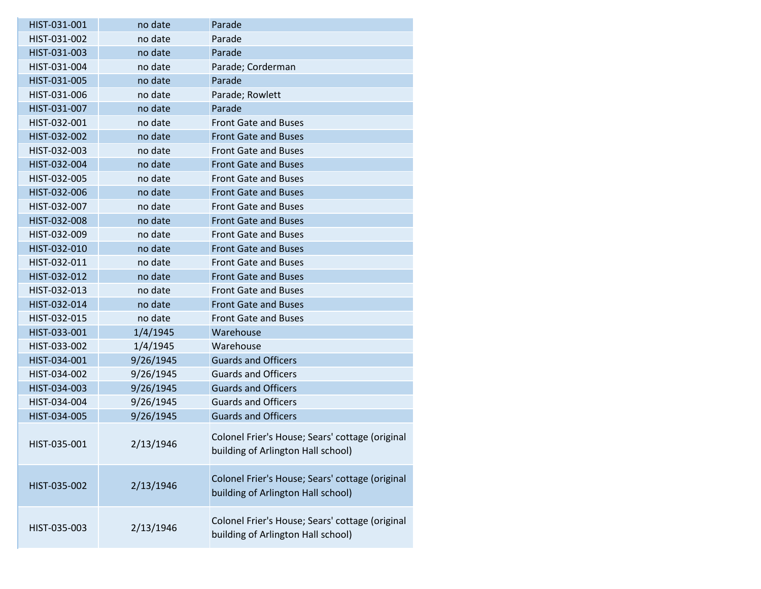| HIST-031-001 | no date   | Parade                                                                                |
|--------------|-----------|---------------------------------------------------------------------------------------|
| HIST-031-002 | no date   | Parade                                                                                |
| HIST-031-003 | no date   | Parade                                                                                |
| HIST-031-004 | no date   | Parade; Corderman                                                                     |
| HIST-031-005 | no date   | Parade                                                                                |
| HIST-031-006 | no date   | Parade; Rowlett                                                                       |
| HIST-031-007 | no date   | Parade                                                                                |
| HIST-032-001 | no date   | <b>Front Gate and Buses</b>                                                           |
| HIST-032-002 | no date   | <b>Front Gate and Buses</b>                                                           |
| HIST-032-003 | no date   | <b>Front Gate and Buses</b>                                                           |
| HIST-032-004 | no date   | <b>Front Gate and Buses</b>                                                           |
| HIST-032-005 | no date   | <b>Front Gate and Buses</b>                                                           |
| HIST-032-006 | no date   | <b>Front Gate and Buses</b>                                                           |
| HIST-032-007 | no date   | <b>Front Gate and Buses</b>                                                           |
| HIST-032-008 | no date   | <b>Front Gate and Buses</b>                                                           |
| HIST-032-009 | no date   | <b>Front Gate and Buses</b>                                                           |
| HIST-032-010 | no date   | <b>Front Gate and Buses</b>                                                           |
| HIST-032-011 | no date   | <b>Front Gate and Buses</b>                                                           |
| HIST-032-012 | no date   | <b>Front Gate and Buses</b>                                                           |
| HIST-032-013 | no date   | <b>Front Gate and Buses</b>                                                           |
| HIST-032-014 | no date   | <b>Front Gate and Buses</b>                                                           |
| HIST-032-015 | no date   | <b>Front Gate and Buses</b>                                                           |
| HIST-033-001 | 1/4/1945  | Warehouse                                                                             |
| HIST-033-002 | 1/4/1945  | Warehouse                                                                             |
| HIST-034-001 | 9/26/1945 | <b>Guards and Officers</b>                                                            |
| HIST-034-002 | 9/26/1945 | <b>Guards and Officers</b>                                                            |
| HIST-034-003 | 9/26/1945 | <b>Guards and Officers</b>                                                            |
| HIST-034-004 | 9/26/1945 | <b>Guards and Officers</b>                                                            |
| HIST-034-005 | 9/26/1945 | <b>Guards and Officers</b>                                                            |
| HIST-035-001 | 2/13/1946 | Colonel Frier's House; Sears' cottage (original<br>building of Arlington Hall school) |
| HIST-035-002 | 2/13/1946 | Colonel Frier's House; Sears' cottage (original<br>building of Arlington Hall school) |
| HIST-035-003 | 2/13/1946 | Colonel Frier's House; Sears' cottage (original<br>building of Arlington Hall school) |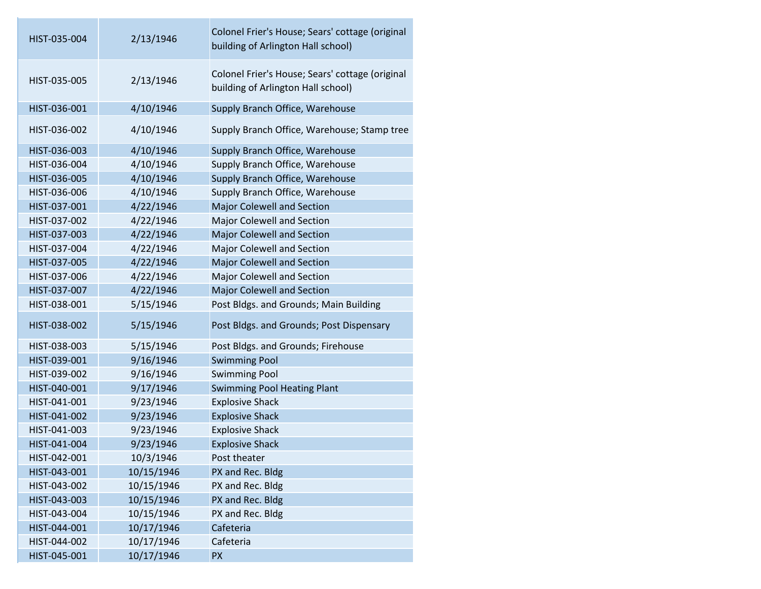| HIST-035-004 | 2/13/1946  | Colonel Frier's House; Sears' cottage (original<br>building of Arlington Hall school) |
|--------------|------------|---------------------------------------------------------------------------------------|
| HIST-035-005 | 2/13/1946  | Colonel Frier's House; Sears' cottage (original<br>building of Arlington Hall school) |
| HIST-036-001 | 4/10/1946  | Supply Branch Office, Warehouse                                                       |
| HIST-036-002 | 4/10/1946  | Supply Branch Office, Warehouse; Stamp tree                                           |
| HIST-036-003 | 4/10/1946  | Supply Branch Office, Warehouse                                                       |
| HIST-036-004 | 4/10/1946  | Supply Branch Office, Warehouse                                                       |
| HIST-036-005 | 4/10/1946  | Supply Branch Office, Warehouse                                                       |
| HIST-036-006 | 4/10/1946  | Supply Branch Office, Warehouse                                                       |
| HIST-037-001 | 4/22/1946  | <b>Major Colewell and Section</b>                                                     |
| HIST-037-002 | 4/22/1946  | Major Colewell and Section                                                            |
| HIST-037-003 | 4/22/1946  | <b>Major Colewell and Section</b>                                                     |
| HIST-037-004 | 4/22/1946  | Major Colewell and Section                                                            |
| HIST-037-005 | 4/22/1946  | <b>Major Colewell and Section</b>                                                     |
| HIST-037-006 | 4/22/1946  | <b>Major Colewell and Section</b>                                                     |
| HIST-037-007 | 4/22/1946  | <b>Major Colewell and Section</b>                                                     |
| HIST-038-001 | 5/15/1946  | Post Bldgs. and Grounds; Main Building                                                |
| HIST-038-002 | 5/15/1946  | Post Bldgs. and Grounds; Post Dispensary                                              |
| HIST-038-003 | 5/15/1946  | Post Bldgs. and Grounds; Firehouse                                                    |
| HIST-039-001 | 9/16/1946  | <b>Swimming Pool</b>                                                                  |
| HIST-039-002 | 9/16/1946  | <b>Swimming Pool</b>                                                                  |
| HIST-040-001 | 9/17/1946  | <b>Swimming Pool Heating Plant</b>                                                    |
| HIST-041-001 | 9/23/1946  | <b>Explosive Shack</b>                                                                |
| HIST-041-002 | 9/23/1946  | <b>Explosive Shack</b>                                                                |
| HIST-041-003 | 9/23/1946  | <b>Explosive Shack</b>                                                                |
| HIST-041-004 | 9/23/1946  | <b>Explosive Shack</b>                                                                |
| HIST-042-001 | 10/3/1946  | Post theater                                                                          |
| HIST-043-001 | 10/15/1946 | PX and Rec. Bldg                                                                      |
| HIST-043-002 | 10/15/1946 | PX and Rec. Bldg                                                                      |
| HIST-043-003 | 10/15/1946 | PX and Rec. Bldg                                                                      |
| HIST-043-004 | 10/15/1946 | PX and Rec. Bldg                                                                      |
| HIST-044-001 | 10/17/1946 | Cafeteria                                                                             |
| HIST-044-002 | 10/17/1946 | Cafeteria                                                                             |
| HIST-045-001 | 10/17/1946 | <b>PX</b>                                                                             |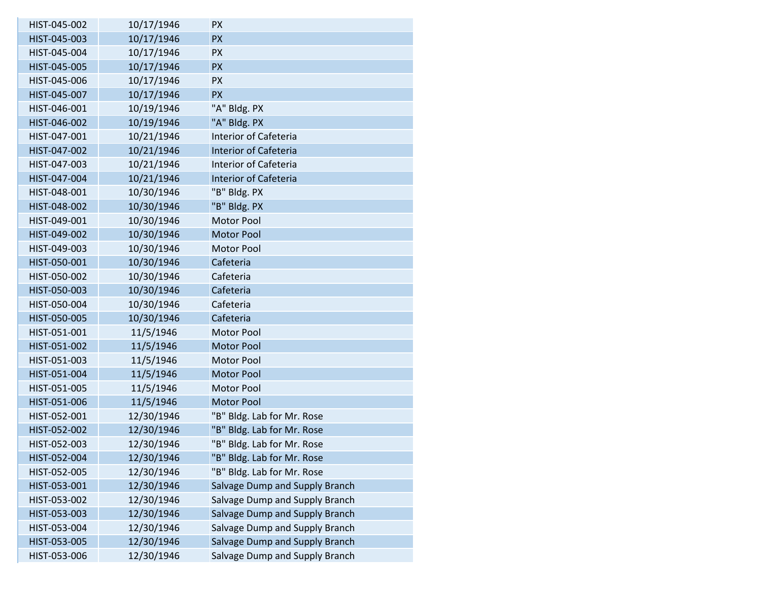| HIST-045-002 | 10/17/1946 | <b>PX</b>                      |
|--------------|------------|--------------------------------|
| HIST-045-003 | 10/17/1946 | <b>PX</b>                      |
| HIST-045-004 | 10/17/1946 | <b>PX</b>                      |
| HIST-045-005 | 10/17/1946 | <b>PX</b>                      |
| HIST-045-006 | 10/17/1946 | <b>PX</b>                      |
| HIST-045-007 | 10/17/1946 | <b>PX</b>                      |
| HIST-046-001 | 10/19/1946 | "A" Bldg. PX                   |
| HIST-046-002 | 10/19/1946 | "A" Bldg. PX                   |
| HIST-047-001 | 10/21/1946 | <b>Interior of Cafeteria</b>   |
| HIST-047-002 | 10/21/1946 | <b>Interior of Cafeteria</b>   |
| HIST-047-003 | 10/21/1946 | Interior of Cafeteria          |
| HIST-047-004 | 10/21/1946 | <b>Interior of Cafeteria</b>   |
| HIST-048-001 | 10/30/1946 | "B" Bldg. PX                   |
| HIST-048-002 | 10/30/1946 | "B" Bldg. PX                   |
| HIST-049-001 | 10/30/1946 | <b>Motor Pool</b>              |
| HIST-049-002 | 10/30/1946 | <b>Motor Pool</b>              |
| HIST-049-003 | 10/30/1946 | <b>Motor Pool</b>              |
| HIST-050-001 | 10/30/1946 | Cafeteria                      |
| HIST-050-002 | 10/30/1946 | Cafeteria                      |
| HIST-050-003 | 10/30/1946 | Cafeteria                      |
| HIST-050-004 | 10/30/1946 | Cafeteria                      |
| HIST-050-005 | 10/30/1946 | Cafeteria                      |
| HIST-051-001 | 11/5/1946  | Motor Pool                     |
| HIST-051-002 | 11/5/1946  | <b>Motor Pool</b>              |
| HIST-051-003 | 11/5/1946  | <b>Motor Pool</b>              |
| HIST-051-004 | 11/5/1946  | <b>Motor Pool</b>              |
| HIST-051-005 | 11/5/1946  | <b>Motor Pool</b>              |
| HIST-051-006 | 11/5/1946  | <b>Motor Pool</b>              |
| HIST-052-001 | 12/30/1946 | "B" Bldg. Lab for Mr. Rose     |
| HIST-052-002 | 12/30/1946 | "B" Bldg. Lab for Mr. Rose     |
| HIST-052-003 | 12/30/1946 | "B" Bldg. Lab for Mr. Rose     |
| HIST-052-004 | 12/30/1946 | "B" Bldg. Lab for Mr. Rose     |
| HIST-052-005 | 12/30/1946 | "B" Bldg. Lab for Mr. Rose     |
| HIST-053-001 | 12/30/1946 | Salvage Dump and Supply Branch |
| HIST-053-002 | 12/30/1946 | Salvage Dump and Supply Branch |
| HIST-053-003 | 12/30/1946 | Salvage Dump and Supply Branch |
| HIST-053-004 | 12/30/1946 | Salvage Dump and Supply Branch |
| HIST-053-005 | 12/30/1946 | Salvage Dump and Supply Branch |
| HIST-053-006 | 12/30/1946 | Salvage Dump and Supply Branch |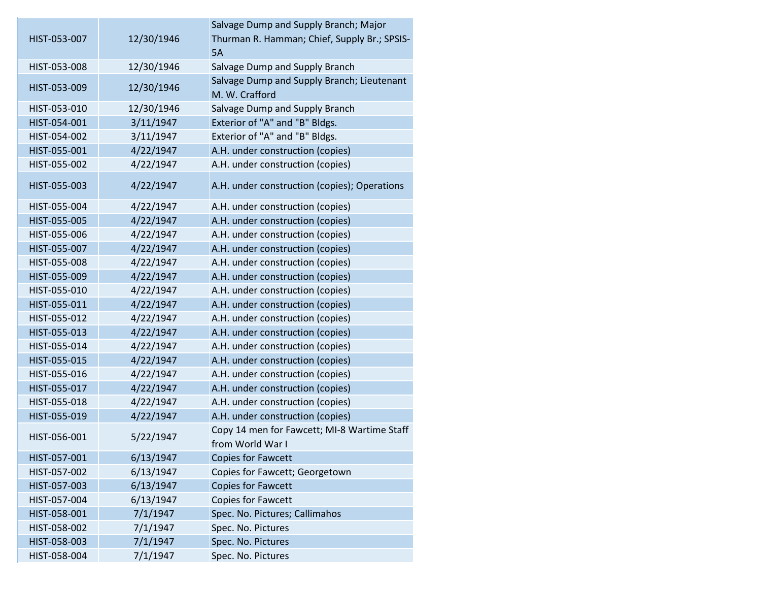| HIST-053-007 | 12/30/1946 | Salvage Dump and Supply Branch; Major<br>Thurman R. Hamman; Chief, Supply Br.; SPSIS-<br>5A |
|--------------|------------|---------------------------------------------------------------------------------------------|
| HIST-053-008 | 12/30/1946 | Salvage Dump and Supply Branch                                                              |
| HIST-053-009 | 12/30/1946 | Salvage Dump and Supply Branch; Lieutenant<br>M. W. Crafford                                |
| HIST-053-010 | 12/30/1946 | Salvage Dump and Supply Branch                                                              |
| HIST-054-001 | 3/11/1947  | Exterior of "A" and "B" Bldgs.                                                              |
| HIST-054-002 | 3/11/1947  | Exterior of "A" and "B" Bldgs.                                                              |
| HIST-055-001 | 4/22/1947  | A.H. under construction (copies)                                                            |
| HIST-055-002 | 4/22/1947  | A.H. under construction (copies)                                                            |
| HIST-055-003 | 4/22/1947  | A.H. under construction (copies); Operations                                                |
| HIST-055-004 | 4/22/1947  | A.H. under construction (copies)                                                            |
| HIST-055-005 | 4/22/1947  | A.H. under construction (copies)                                                            |
| HIST-055-006 | 4/22/1947  | A.H. under construction (copies)                                                            |
| HIST-055-007 | 4/22/1947  | A.H. under construction (copies)                                                            |
| HIST-055-008 | 4/22/1947  | A.H. under construction (copies)                                                            |
| HIST-055-009 | 4/22/1947  | A.H. under construction (copies)                                                            |
| HIST-055-010 | 4/22/1947  | A.H. under construction (copies)                                                            |
| HIST-055-011 | 4/22/1947  | A.H. under construction (copies)                                                            |
| HIST-055-012 | 4/22/1947  | A.H. under construction (copies)                                                            |
| HIST-055-013 | 4/22/1947  | A.H. under construction (copies)                                                            |
| HIST-055-014 | 4/22/1947  | A.H. under construction (copies)                                                            |
| HIST-055-015 | 4/22/1947  | A.H. under construction (copies)                                                            |
| HIST-055-016 | 4/22/1947  | A.H. under construction (copies)                                                            |
| HIST-055-017 | 4/22/1947  | A.H. under construction (copies)                                                            |
| HIST-055-018 | 4/22/1947  | A.H. under construction (copies)                                                            |
| HIST-055-019 | 4/22/1947  | A.H. under construction (copies)                                                            |
| HIST-056-001 | 5/22/1947  | Copy 14 men for Fawcett; MI-8 Wartime Staff<br>from World War I                             |
| HIST-057-001 | 6/13/1947  | <b>Copies for Fawcett</b>                                                                   |
| HIST-057-002 | 6/13/1947  | Copies for Fawcett; Georgetown                                                              |
| HIST-057-003 | 6/13/1947  | <b>Copies for Fawcett</b>                                                                   |
| HIST-057-004 | 6/13/1947  | <b>Copies for Fawcett</b>                                                                   |
| HIST-058-001 | 7/1/1947   | Spec. No. Pictures; Callimahos                                                              |
| HIST-058-002 | 7/1/1947   | Spec. No. Pictures                                                                          |
| HIST-058-003 | 7/1/1947   | Spec. No. Pictures                                                                          |
| HIST-058-004 | 7/1/1947   | Spec. No. Pictures                                                                          |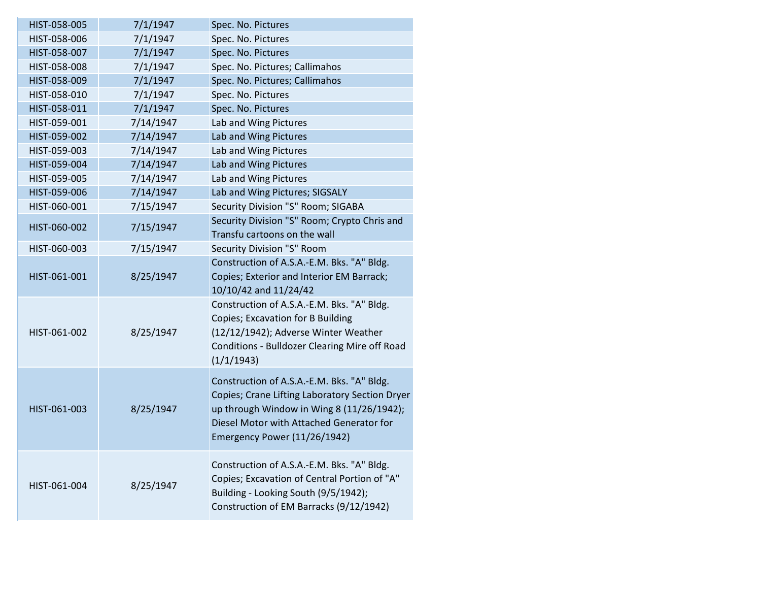| HIST-058-005 | 7/1/1947  | Spec. No. Pictures                             |
|--------------|-----------|------------------------------------------------|
| HIST-058-006 | 7/1/1947  | Spec. No. Pictures                             |
| HIST-058-007 | 7/1/1947  | Spec. No. Pictures                             |
| HIST-058-008 | 7/1/1947  | Spec. No. Pictures; Callimahos                 |
| HIST-058-009 | 7/1/1947  | Spec. No. Pictures; Callimahos                 |
| HIST-058-010 | 7/1/1947  | Spec. No. Pictures                             |
| HIST-058-011 | 7/1/1947  | Spec. No. Pictures                             |
| HIST-059-001 | 7/14/1947 | Lab and Wing Pictures                          |
| HIST-059-002 | 7/14/1947 | Lab and Wing Pictures                          |
| HIST-059-003 | 7/14/1947 | Lab and Wing Pictures                          |
| HIST-059-004 | 7/14/1947 | Lab and Wing Pictures                          |
| HIST-059-005 | 7/14/1947 | Lab and Wing Pictures                          |
| HIST-059-006 | 7/14/1947 | Lab and Wing Pictures; SIGSALY                 |
| HIST-060-001 | 7/15/1947 | Security Division "S" Room; SIGABA             |
| HIST-060-002 | 7/15/1947 | Security Division "S" Room; Crypto Chris and   |
|              |           | Transfu cartoons on the wall                   |
| HIST-060-003 | 7/15/1947 | Security Division "S" Room                     |
|              |           | Construction of A.S.A.-E.M. Bks. "A" Bldg.     |
| HIST-061-001 | 8/25/1947 | Copies; Exterior and Interior EM Barrack;      |
|              |           | 10/10/42 and 11/24/42                          |
|              |           | Construction of A.S.A.-E.M. Bks. "A" Bldg.     |
|              |           | Copies; Excavation for B Building              |
| HIST-061-002 | 8/25/1947 | (12/12/1942); Adverse Winter Weather           |
|              |           | Conditions - Bulldozer Clearing Mire off Road  |
|              |           | (1/1/1943)                                     |
|              |           | Construction of A.S.A.-E.M. Bks. "A" Bldg.     |
|              |           | Copies; Crane Lifting Laboratory Section Dryer |
| HIST-061-003 | 8/25/1947 | up through Window in Wing 8 (11/26/1942);      |
|              |           | Diesel Motor with Attached Generator for       |
|              |           | Emergency Power (11/26/1942)                   |
|              |           |                                                |
|              |           | Construction of A.S.A.-E.M. Bks. "A" Bldg.     |
| HIST-061-004 | 8/25/1947 | Copies; Excavation of Central Portion of "A"   |
|              |           | Building - Looking South (9/5/1942);           |
|              |           | Construction of EM Barracks (9/12/1942)        |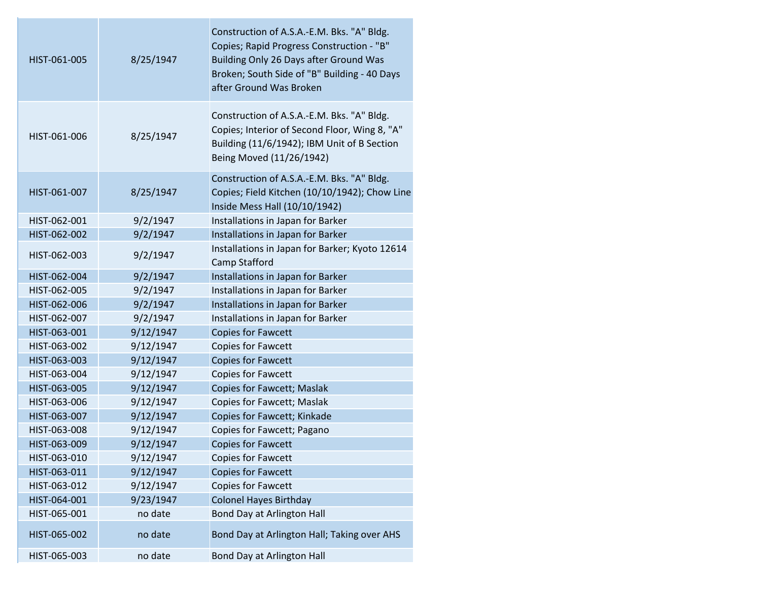| HIST-061-005 | 8/25/1947 | Construction of A.S.A.-E.M. Bks. "A" Bldg.<br>Copies; Rapid Progress Construction - "B"<br>Building Only 26 Days after Ground Was<br>Broken; South Side of "B" Building - 40 Days<br>after Ground Was Broken |
|--------------|-----------|--------------------------------------------------------------------------------------------------------------------------------------------------------------------------------------------------------------|
| HIST-061-006 | 8/25/1947 | Construction of A.S.A.-E.M. Bks. "A" Bldg.<br>Copies; Interior of Second Floor, Wing 8, "A"<br>Building (11/6/1942); IBM Unit of B Section<br>Being Moved (11/26/1942)                                       |
| HIST-061-007 | 8/25/1947 | Construction of A.S.A.-E.M. Bks. "A" Bldg.<br>Copies; Field Kitchen (10/10/1942); Chow Line<br>Inside Mess Hall (10/10/1942)                                                                                 |
| HIST-062-001 | 9/2/1947  | Installations in Japan for Barker                                                                                                                                                                            |
| HIST-062-002 | 9/2/1947  | Installations in Japan for Barker                                                                                                                                                                            |
| HIST-062-003 | 9/2/1947  | Installations in Japan for Barker; Kyoto 12614<br>Camp Stafford                                                                                                                                              |
| HIST-062-004 | 9/2/1947  | Installations in Japan for Barker                                                                                                                                                                            |
| HIST-062-005 | 9/2/1947  | Installations in Japan for Barker                                                                                                                                                                            |
| HIST-062-006 | 9/2/1947  | Installations in Japan for Barker                                                                                                                                                                            |
| HIST-062-007 | 9/2/1947  | Installations in Japan for Barker                                                                                                                                                                            |
| HIST-063-001 | 9/12/1947 | <b>Copies for Fawcett</b>                                                                                                                                                                                    |
| HIST-063-002 | 9/12/1947 | <b>Copies for Fawcett</b>                                                                                                                                                                                    |
| HIST-063-003 | 9/12/1947 | <b>Copies for Fawcett</b>                                                                                                                                                                                    |
| HIST-063-004 | 9/12/1947 | <b>Copies for Fawcett</b>                                                                                                                                                                                    |
| HIST-063-005 | 9/12/1947 | <b>Copies for Fawcett; Maslak</b>                                                                                                                                                                            |
| HIST-063-006 | 9/12/1947 | <b>Copies for Fawcett; Maslak</b>                                                                                                                                                                            |
| HIST-063-007 | 9/12/1947 | Copies for Fawcett; Kinkade                                                                                                                                                                                  |
| HIST-063-008 | 9/12/1947 | Copies for Fawcett; Pagano                                                                                                                                                                                   |
| HIST-063-009 | 9/12/1947 | <b>Copies for Fawcett</b>                                                                                                                                                                                    |
| HIST-063-010 | 9/12/1947 | <b>Copies for Fawcett</b>                                                                                                                                                                                    |
| HIST-063-011 | 9/12/1947 | <b>Copies for Fawcett</b>                                                                                                                                                                                    |
| HIST-063-012 | 9/12/1947 | <b>Copies for Fawcett</b>                                                                                                                                                                                    |
| HIST-064-001 | 9/23/1947 | <b>Colonel Hayes Birthday</b>                                                                                                                                                                                |
| HIST-065-001 | no date   | Bond Day at Arlington Hall                                                                                                                                                                                   |
| HIST-065-002 | no date   | Bond Day at Arlington Hall; Taking over AHS                                                                                                                                                                  |
| HIST-065-003 | no date   | Bond Day at Arlington Hall                                                                                                                                                                                   |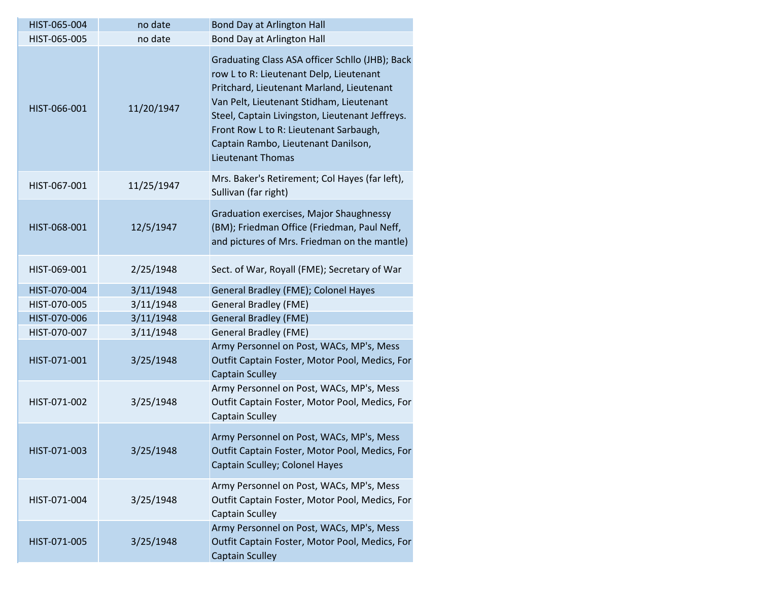| HIST-065-004 | no date    | <b>Bond Day at Arlington Hall</b>                                                                                                                                                                                                                                                                                                                   |
|--------------|------------|-----------------------------------------------------------------------------------------------------------------------------------------------------------------------------------------------------------------------------------------------------------------------------------------------------------------------------------------------------|
| HIST-065-005 | no date    | Bond Day at Arlington Hall                                                                                                                                                                                                                                                                                                                          |
| HIST-066-001 | 11/20/1947 | Graduating Class ASA officer Schllo (JHB); Back<br>row L to R: Lieutenant Delp, Lieutenant<br>Pritchard, Lieutenant Marland, Lieutenant<br>Van Pelt, Lieutenant Stidham, Lieutenant<br>Steel, Captain Livingston, Lieutenant Jeffreys.<br>Front Row L to R: Lieutenant Sarbaugh,<br>Captain Rambo, Lieutenant Danilson,<br><b>Lieutenant Thomas</b> |
| HIST-067-001 | 11/25/1947 | Mrs. Baker's Retirement; Col Hayes (far left),<br>Sullivan (far right)                                                                                                                                                                                                                                                                              |
| HIST-068-001 | 12/5/1947  | Graduation exercises, Major Shaughnessy<br>(BM); Friedman Office (Friedman, Paul Neff,<br>and pictures of Mrs. Friedman on the mantle)                                                                                                                                                                                                              |
| HIST-069-001 | 2/25/1948  | Sect. of War, Royall (FME); Secretary of War                                                                                                                                                                                                                                                                                                        |
| HIST-070-004 | 3/11/1948  | General Bradley (FME); Colonel Hayes                                                                                                                                                                                                                                                                                                                |
| HIST-070-005 | 3/11/1948  | <b>General Bradley (FME)</b>                                                                                                                                                                                                                                                                                                                        |
| HIST-070-006 | 3/11/1948  | <b>General Bradley (FME)</b>                                                                                                                                                                                                                                                                                                                        |
| HIST-070-007 | 3/11/1948  | <b>General Bradley (FME)</b>                                                                                                                                                                                                                                                                                                                        |
| HIST-071-001 | 3/25/1948  | Army Personnel on Post, WACs, MP's, Mess<br>Outfit Captain Foster, Motor Pool, Medics, For<br><b>Captain Sculley</b>                                                                                                                                                                                                                                |
| HIST-071-002 | 3/25/1948  | Army Personnel on Post, WACs, MP's, Mess<br>Outfit Captain Foster, Motor Pool, Medics, For<br><b>Captain Sculley</b>                                                                                                                                                                                                                                |
| HIST-071-003 | 3/25/1948  | Army Personnel on Post, WACs, MP's, Mess<br>Outfit Captain Foster, Motor Pool, Medics, For<br>Captain Sculley; Colonel Hayes                                                                                                                                                                                                                        |
| HIST-071-004 | 3/25/1948  | Army Personnel on Post, WACs, MP's, Mess<br>Outfit Captain Foster, Motor Pool, Medics, For<br><b>Captain Sculley</b>                                                                                                                                                                                                                                |
| HIST-071-005 | 3/25/1948  | Army Personnel on Post, WACs, MP's, Mess<br>Outfit Captain Foster, Motor Pool, Medics, For<br><b>Captain Sculley</b>                                                                                                                                                                                                                                |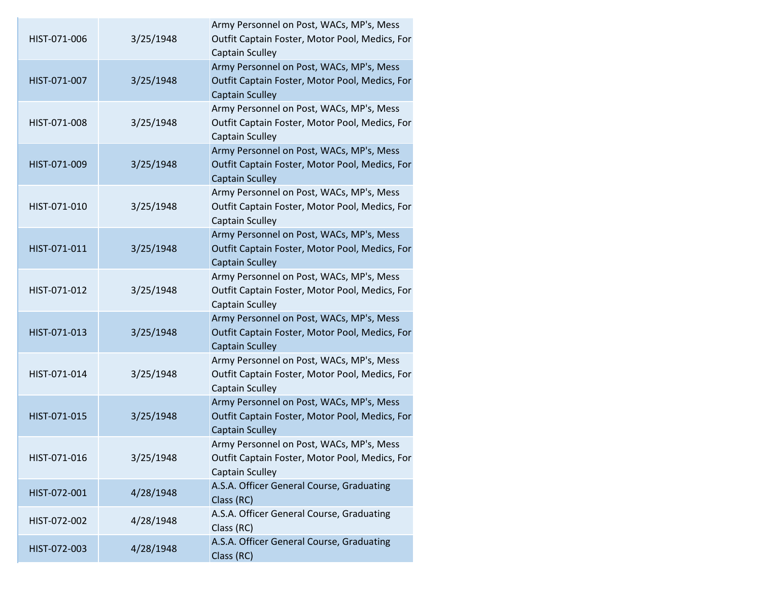| HIST-071-006 | 3/25/1948 | Army Personnel on Post, WACs, MP's, Mess<br>Outfit Captain Foster, Motor Pool, Medics, For<br><b>Captain Sculley</b> |
|--------------|-----------|----------------------------------------------------------------------------------------------------------------------|
| HIST-071-007 | 3/25/1948 | Army Personnel on Post, WACs, MP's, Mess<br>Outfit Captain Foster, Motor Pool, Medics, For<br><b>Captain Sculley</b> |
| HIST-071-008 | 3/25/1948 | Army Personnel on Post, WACs, MP's, Mess<br>Outfit Captain Foster, Motor Pool, Medics, For<br><b>Captain Sculley</b> |
| HIST-071-009 | 3/25/1948 | Army Personnel on Post, WACs, MP's, Mess<br>Outfit Captain Foster, Motor Pool, Medics, For<br><b>Captain Sculley</b> |
| HIST-071-010 | 3/25/1948 | Army Personnel on Post, WACs, MP's, Mess<br>Outfit Captain Foster, Motor Pool, Medics, For<br><b>Captain Sculley</b> |
| HIST-071-011 | 3/25/1948 | Army Personnel on Post, WACs, MP's, Mess<br>Outfit Captain Foster, Motor Pool, Medics, For<br><b>Captain Sculley</b> |
| HIST-071-012 | 3/25/1948 | Army Personnel on Post, WACs, MP's, Mess<br>Outfit Captain Foster, Motor Pool, Medics, For<br><b>Captain Sculley</b> |
| HIST-071-013 | 3/25/1948 | Army Personnel on Post, WACs, MP's, Mess<br>Outfit Captain Foster, Motor Pool, Medics, For<br><b>Captain Sculley</b> |
| HIST-071-014 | 3/25/1948 | Army Personnel on Post, WACs, MP's, Mess<br>Outfit Captain Foster, Motor Pool, Medics, For<br><b>Captain Sculley</b> |
| HIST-071-015 | 3/25/1948 | Army Personnel on Post, WACs, MP's, Mess<br>Outfit Captain Foster, Motor Pool, Medics, For<br><b>Captain Sculley</b> |
| HIST-071-016 | 3/25/1948 | Army Personnel on Post, WACs, MP's, Mess<br>Outfit Captain Foster, Motor Pool, Medics, For<br><b>Captain Sculley</b> |
| HIST-072-001 | 4/28/1948 | A.S.A. Officer General Course, Graduating<br>Class (RC)                                                              |
| HIST-072-002 | 4/28/1948 | A.S.A. Officer General Course, Graduating<br>Class (RC)                                                              |
| HIST-072-003 | 4/28/1948 | A.S.A. Officer General Course, Graduating<br>Class (RC)                                                              |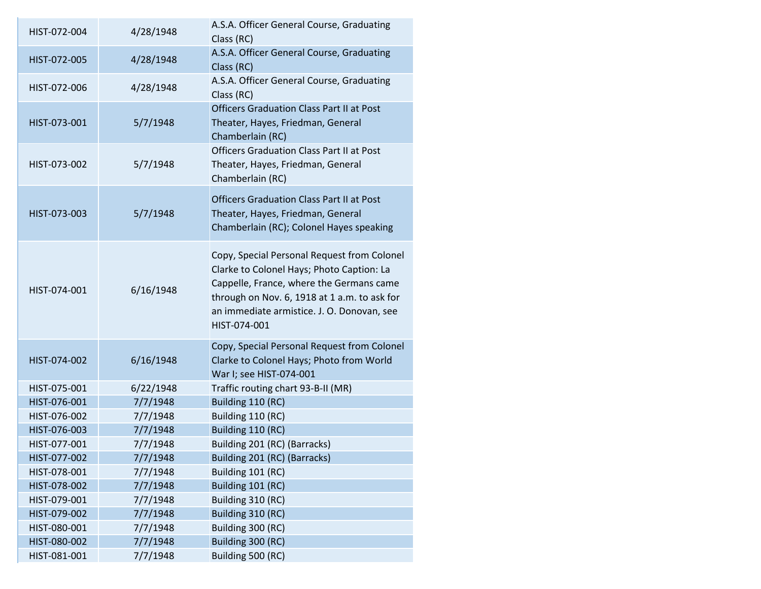| HIST-072-004                 | 4/28/1948            | A.S.A. Officer General Course, Graduating<br>Class (RC)                                                                                                                                                                                            |
|------------------------------|----------------------|----------------------------------------------------------------------------------------------------------------------------------------------------------------------------------------------------------------------------------------------------|
| HIST-072-005                 | 4/28/1948            | A.S.A. Officer General Course, Graduating<br>Class (RC)                                                                                                                                                                                            |
| HIST-072-006                 | 4/28/1948            | A.S.A. Officer General Course, Graduating<br>Class (RC)                                                                                                                                                                                            |
| HIST-073-001                 | 5/7/1948             | <b>Officers Graduation Class Part II at Post</b><br>Theater, Hayes, Friedman, General<br>Chamberlain (RC)                                                                                                                                          |
| HIST-073-002                 | 5/7/1948             | <b>Officers Graduation Class Part II at Post</b><br>Theater, Hayes, Friedman, General<br>Chamberlain (RC)                                                                                                                                          |
| HIST-073-003                 | 5/7/1948             | <b>Officers Graduation Class Part II at Post</b><br>Theater, Hayes, Friedman, General<br>Chamberlain (RC); Colonel Hayes speaking                                                                                                                  |
| HIST-074-001                 | 6/16/1948            | Copy, Special Personal Request from Colonel<br>Clarke to Colonel Hays; Photo Caption: La<br>Cappelle, France, where the Germans came<br>through on Nov. 6, 1918 at 1 a.m. to ask for<br>an immediate armistice. J. O. Donovan, see<br>HIST-074-001 |
| HIST-074-002                 | 6/16/1948            | Copy, Special Personal Request from Colonel<br>Clarke to Colonel Hays; Photo from World<br>War I; see HIST-074-001                                                                                                                                 |
| HIST-075-001                 | 6/22/1948            | Traffic routing chart 93-B-II (MR)                                                                                                                                                                                                                 |
| HIST-076-001                 | 7/7/1948             | Building 110 (RC)                                                                                                                                                                                                                                  |
| HIST-076-002                 | 7/7/1948             | Building 110 (RC)                                                                                                                                                                                                                                  |
| HIST-076-003                 | 7/7/1948             | Building 110 (RC)                                                                                                                                                                                                                                  |
| HIST-077-001                 | 7/7/1948             | Building 201 (RC) (Barracks)                                                                                                                                                                                                                       |
| HIST-077-002                 | 7/7/1948             | Building 201 (RC) (Barracks)                                                                                                                                                                                                                       |
| HIST-078-001                 | 7/7/1948             | Building 101 (RC)                                                                                                                                                                                                                                  |
| HIST-078-002                 | 7/7/1948             | Building 101 (RC)                                                                                                                                                                                                                                  |
| HIST-079-001<br>HIST-079-002 | 7/7/1948<br>7/7/1948 | Building 310 (RC)<br>Building 310 (RC)                                                                                                                                                                                                             |
| HIST-080-001                 | 7/7/1948             | Building 300 (RC)                                                                                                                                                                                                                                  |
| HIST-080-002                 | 7/7/1948             | Building 300 (RC)                                                                                                                                                                                                                                  |
| HIST-081-001                 | 7/7/1948             | Building 500 (RC)                                                                                                                                                                                                                                  |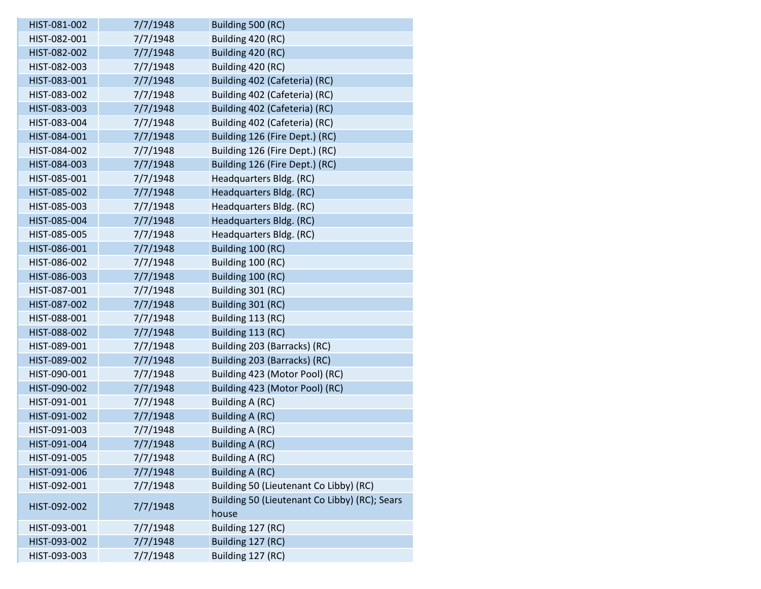| HIST-081-002 | 7/7/1948 | Building 500 (RC)                             |
|--------------|----------|-----------------------------------------------|
| HIST-082-001 | 7/7/1948 | Building 420 (RC)                             |
| HIST-082-002 | 7/7/1948 | Building 420 (RC)                             |
| HIST-082-003 | 7/7/1948 | Building 420 (RC)                             |
| HIST-083-001 | 7/7/1948 | Building 402 (Cafeteria) (RC)                 |
| HIST-083-002 | 7/7/1948 | Building 402 (Cafeteria) (RC)                 |
| HIST-083-003 | 7/7/1948 | Building 402 (Cafeteria) (RC)                 |
| HIST-083-004 | 7/7/1948 | Building 402 (Cafeteria) (RC)                 |
| HIST-084-001 | 7/7/1948 | Building 126 (Fire Dept.) (RC)                |
| HIST-084-002 | 7/7/1948 | Building 126 (Fire Dept.) (RC)                |
| HIST-084-003 | 7/7/1948 | Building 126 (Fire Dept.) (RC)                |
| HIST-085-001 | 7/7/1948 | Headquarters Bldg. (RC)                       |
| HIST-085-002 | 7/7/1948 | Headquarters Bldg. (RC)                       |
| HIST-085-003 | 7/7/1948 | Headquarters Bldg. (RC)                       |
| HIST-085-004 | 7/7/1948 | Headquarters Bldg. (RC)                       |
| HIST-085-005 | 7/7/1948 | Headquarters Bldg. (RC)                       |
| HIST-086-001 | 7/7/1948 | Building 100 (RC)                             |
| HIST-086-002 | 7/7/1948 | Building 100 (RC)                             |
| HIST-086-003 | 7/7/1948 | Building 100 (RC)                             |
| HIST-087-001 | 7/7/1948 | Building 301 (RC)                             |
| HIST-087-002 | 7/7/1948 | Building 301 (RC)                             |
| HIST-088-001 | 7/7/1948 | Building 113 (RC)                             |
| HIST-088-002 | 7/7/1948 | Building 113 (RC)                             |
| HIST-089-001 | 7/7/1948 | Building 203 (Barracks) (RC)                  |
| HIST-089-002 | 7/7/1948 | Building 203 (Barracks) (RC)                  |
| HIST-090-001 | 7/7/1948 | Building 423 (Motor Pool) (RC)                |
| HIST-090-002 | 7/7/1948 | Building 423 (Motor Pool) (RC)                |
| HIST-091-001 | 7/7/1948 | Building A (RC)                               |
| HIST-091-002 | 7/7/1948 | Building A (RC)                               |
| HIST-091-003 | 7/7/1948 | Building A (RC)                               |
| HIST-091-004 | 7/7/1948 | <b>Building A (RC)</b>                        |
| HIST-091-005 | 7/7/1948 | Building A (RC)                               |
| HIST-091-006 | 7/7/1948 | <b>Building A (RC)</b>                        |
| HIST-092-001 | 7/7/1948 | Building 50 (Lieutenant Co Libby) (RC)        |
| HIST-092-002 | 7/7/1948 | Building 50 (Lieutenant Co Libby) (RC); Sears |
|              |          | house                                         |
| HIST-093-001 | 7/7/1948 | Building 127 (RC)                             |
| HIST-093-002 | 7/7/1948 | Building 127 (RC)                             |
| HIST-093-003 | 7/7/1948 | Building 127 (RC)                             |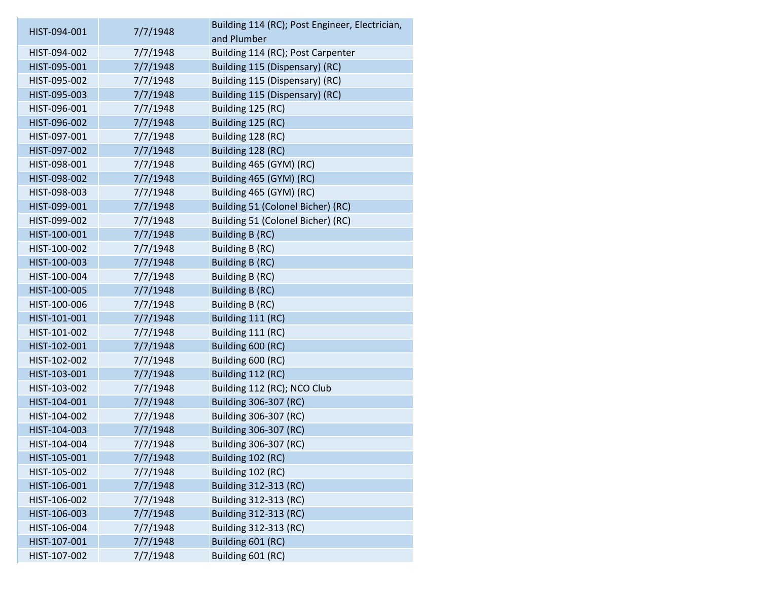| HIST-094-001 | 7/7/1948 | Building 114 (RC); Post Engineer, Electrician, |
|--------------|----------|------------------------------------------------|
|              |          | and Plumber                                    |
| HIST-094-002 | 7/7/1948 | Building 114 (RC); Post Carpenter              |
| HIST-095-001 | 7/7/1948 | Building 115 (Dispensary) (RC)                 |
| HIST-095-002 | 7/7/1948 | Building 115 (Dispensary) (RC)                 |
| HIST-095-003 | 7/7/1948 | Building 115 (Dispensary) (RC)                 |
| HIST-096-001 | 7/7/1948 | Building 125 (RC)                              |
| HIST-096-002 | 7/7/1948 | Building 125 (RC)                              |
| HIST-097-001 | 7/7/1948 | Building 128 (RC)                              |
| HIST-097-002 | 7/7/1948 | Building 128 (RC)                              |
| HIST-098-001 | 7/7/1948 | Building 465 (GYM) (RC)                        |
| HIST-098-002 | 7/7/1948 | Building 465 (GYM) (RC)                        |
| HIST-098-003 | 7/7/1948 | Building 465 (GYM) (RC)                        |
| HIST-099-001 | 7/7/1948 | Building 51 (Colonel Bicher) (RC)              |
| HIST-099-002 | 7/7/1948 | Building 51 (Colonel Bicher) (RC)              |
| HIST-100-001 | 7/7/1948 | Building B (RC)                                |
| HIST-100-002 | 7/7/1948 | Building B (RC)                                |
| HIST-100-003 | 7/7/1948 | Building B (RC)                                |
| HIST-100-004 | 7/7/1948 | Building B (RC)                                |
| HIST-100-005 | 7/7/1948 | Building B (RC)                                |
| HIST-100-006 | 7/7/1948 | Building B (RC)                                |
| HIST-101-001 | 7/7/1948 | Building 111 (RC)                              |
| HIST-101-002 | 7/7/1948 | Building 111 (RC)                              |
| HIST-102-001 | 7/7/1948 | Building 600 (RC)                              |
| HIST-102-002 | 7/7/1948 | Building 600 (RC)                              |
| HIST-103-001 | 7/7/1948 | Building 112 (RC)                              |
| HIST-103-002 | 7/7/1948 | Building 112 (RC); NCO Club                    |
| HIST-104-001 | 7/7/1948 | Building 306-307 (RC)                          |
| HIST-104-002 | 7/7/1948 | Building 306-307 (RC)                          |
| HIST-104-003 | 7/7/1948 | Building 306-307 (RC)                          |
| HIST-104-004 | 7/7/1948 | Building 306-307 (RC)                          |
| HIST-105-001 | 7/7/1948 | Building 102 (RC)                              |
| HIST-105-002 | 7/7/1948 | Building 102 (RC)                              |
| HIST-106-001 | 7/7/1948 | Building 312-313 (RC)                          |
| HIST-106-002 | 7/7/1948 | Building 312-313 (RC)                          |
| HIST-106-003 | 7/7/1948 | Building 312-313 (RC)                          |
| HIST-106-004 | 7/7/1948 | Building 312-313 (RC)                          |
| HIST-107-001 | 7/7/1948 | Building 601 (RC)                              |
| HIST-107-002 | 7/7/1948 | Building 601 (RC)                              |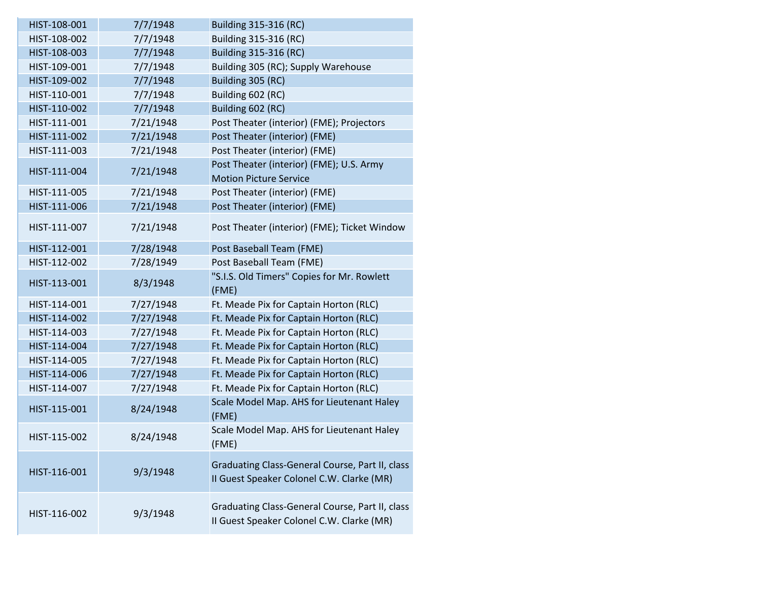| HIST-108-001 | 7/7/1948  | Building 315-316 (RC)                                                                        |
|--------------|-----------|----------------------------------------------------------------------------------------------|
| HIST-108-002 | 7/7/1948  | Building 315-316 (RC)                                                                        |
| HIST-108-003 | 7/7/1948  | Building 315-316 (RC)                                                                        |
| HIST-109-001 | 7/7/1948  | Building 305 (RC); Supply Warehouse                                                          |
| HIST-109-002 | 7/7/1948  | Building 305 (RC)                                                                            |
| HIST-110-001 | 7/7/1948  | Building 602 (RC)                                                                            |
| HIST-110-002 | 7/7/1948  | Building 602 (RC)                                                                            |
| HIST-111-001 | 7/21/1948 | Post Theater (interior) (FME); Projectors                                                    |
| HIST-111-002 | 7/21/1948 | Post Theater (interior) (FME)                                                                |
| HIST-111-003 | 7/21/1948 | Post Theater (interior) (FME)                                                                |
| HIST-111-004 | 7/21/1948 | Post Theater (interior) (FME); U.S. Army                                                     |
|              |           | <b>Motion Picture Service</b>                                                                |
| HIST-111-005 | 7/21/1948 | Post Theater (interior) (FME)                                                                |
| HIST-111-006 | 7/21/1948 | Post Theater (interior) (FME)                                                                |
| HIST-111-007 | 7/21/1948 | Post Theater (interior) (FME); Ticket Window                                                 |
| HIST-112-001 | 7/28/1948 | Post Baseball Team (FME)                                                                     |
| HIST-112-002 | 7/28/1949 | Post Baseball Team (FME)                                                                     |
| HIST-113-001 | 8/3/1948  | "S.I.S. Old Timers" Copies for Mr. Rowlett<br>(FME)                                          |
| HIST-114-001 | 7/27/1948 | Ft. Meade Pix for Captain Horton (RLC)                                                       |
| HIST-114-002 | 7/27/1948 | Ft. Meade Pix for Captain Horton (RLC)                                                       |
| HIST-114-003 | 7/27/1948 | Ft. Meade Pix for Captain Horton (RLC)                                                       |
| HIST-114-004 | 7/27/1948 | Ft. Meade Pix for Captain Horton (RLC)                                                       |
| HIST-114-005 | 7/27/1948 | Ft. Meade Pix for Captain Horton (RLC)                                                       |
| HIST-114-006 | 7/27/1948 | Ft. Meade Pix for Captain Horton (RLC)                                                       |
| HIST-114-007 | 7/27/1948 | Ft. Meade Pix for Captain Horton (RLC)                                                       |
| HIST-115-001 | 8/24/1948 | Scale Model Map. AHS for Lieutenant Haley<br>(FME)                                           |
| HIST-115-002 | 8/24/1948 | Scale Model Map. AHS for Lieutenant Haley<br>(FME)                                           |
| HIST-116-001 | 9/3/1948  | Graduating Class-General Course, Part II, class<br>II Guest Speaker Colonel C.W. Clarke (MR) |
| HIST-116-002 | 9/3/1948  | Graduating Class-General Course, Part II, class<br>II Guest Speaker Colonel C.W. Clarke (MR) |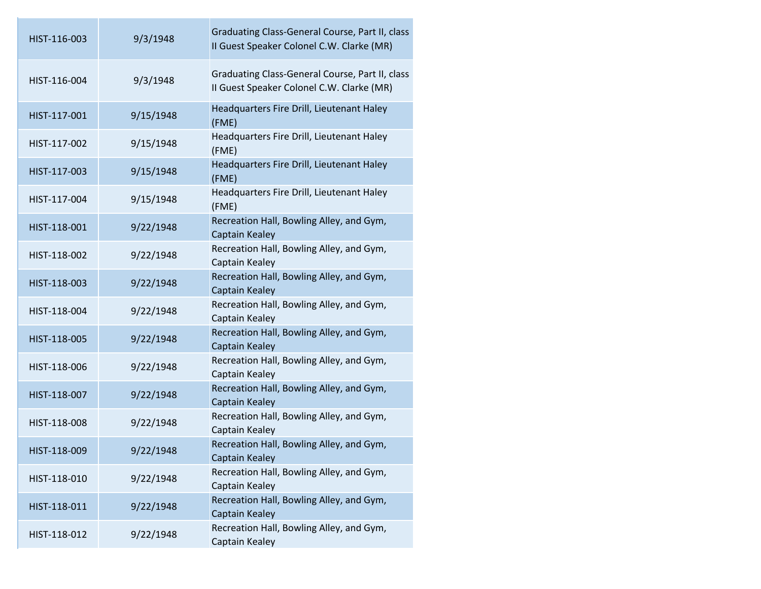| HIST-116-003 | 9/3/1948  | Graduating Class-General Course, Part II, class<br>II Guest Speaker Colonel C.W. Clarke (MR) |
|--------------|-----------|----------------------------------------------------------------------------------------------|
| HIST-116-004 | 9/3/1948  | Graduating Class-General Course, Part II, class<br>II Guest Speaker Colonel C.W. Clarke (MR) |
| HIST-117-001 | 9/15/1948 | Headquarters Fire Drill, Lieutenant Haley<br>(FME)                                           |
| HIST-117-002 | 9/15/1948 | Headquarters Fire Drill, Lieutenant Haley<br>(FME)                                           |
| HIST-117-003 | 9/15/1948 | Headquarters Fire Drill, Lieutenant Haley<br>(FME)                                           |
| HIST-117-004 | 9/15/1948 | Headquarters Fire Drill, Lieutenant Haley<br>(FME)                                           |
| HIST-118-001 | 9/22/1948 | Recreation Hall, Bowling Alley, and Gym,<br>Captain Kealey                                   |
| HIST-118-002 | 9/22/1948 | Recreation Hall, Bowling Alley, and Gym,<br>Captain Kealey                                   |
| HIST-118-003 | 9/22/1948 | Recreation Hall, Bowling Alley, and Gym,<br>Captain Kealey                                   |
| HIST-118-004 | 9/22/1948 | Recreation Hall, Bowling Alley, and Gym,<br>Captain Kealey                                   |
| HIST-118-005 | 9/22/1948 | Recreation Hall, Bowling Alley, and Gym,<br>Captain Kealey                                   |
| HIST-118-006 | 9/22/1948 | Recreation Hall, Bowling Alley, and Gym,<br>Captain Kealey                                   |
| HIST-118-007 | 9/22/1948 | Recreation Hall, Bowling Alley, and Gym,<br>Captain Kealey                                   |
| HIST-118-008 | 9/22/1948 | Recreation Hall, Bowling Alley, and Gym,<br>Captain Kealey                                   |
| HIST-118-009 | 9/22/1948 | Recreation Hall, Bowling Alley, and Gym,<br>Captain Kealey                                   |
| HIST-118-010 | 9/22/1948 | Recreation Hall, Bowling Alley, and Gym,<br>Captain Kealey                                   |
| HIST-118-011 | 9/22/1948 | Recreation Hall, Bowling Alley, and Gym,<br>Captain Kealey                                   |
| HIST-118-012 | 9/22/1948 | Recreation Hall, Bowling Alley, and Gym,<br>Captain Kealey                                   |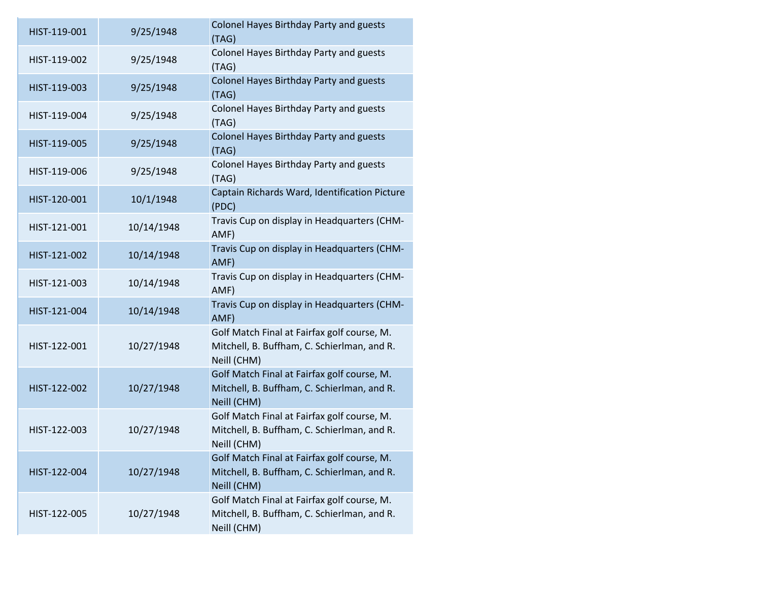| HIST-119-001 | 9/25/1948  | Colonel Hayes Birthday Party and guests<br>(TAG)                                                          |
|--------------|------------|-----------------------------------------------------------------------------------------------------------|
| HIST-119-002 | 9/25/1948  | Colonel Hayes Birthday Party and guests<br>(TAG)                                                          |
| HIST-119-003 | 9/25/1948  | <b>Colonel Hayes Birthday Party and guests</b><br>(TAG)                                                   |
| HIST-119-004 | 9/25/1948  | Colonel Hayes Birthday Party and guests<br>(TAG)                                                          |
| HIST-119-005 | 9/25/1948  | <b>Colonel Hayes Birthday Party and guests</b><br>(TAG)                                                   |
| HIST-119-006 | 9/25/1948  | Colonel Hayes Birthday Party and guests<br>(TAG)                                                          |
| HIST-120-001 | 10/1/1948  | Captain Richards Ward, Identification Picture<br>(PDC)                                                    |
| HIST-121-001 | 10/14/1948 | Travis Cup on display in Headquarters (CHM-<br>AMF)                                                       |
| HIST-121-002 | 10/14/1948 | Travis Cup on display in Headquarters (CHM-<br>AMF)                                                       |
| HIST-121-003 | 10/14/1948 | Travis Cup on display in Headquarters (CHM-<br>AMF)                                                       |
| HIST-121-004 | 10/14/1948 | Travis Cup on display in Headquarters (CHM-<br>AMF)                                                       |
| HIST-122-001 | 10/27/1948 | Golf Match Final at Fairfax golf course, M.<br>Mitchell, B. Buffham, C. Schierlman, and R.<br>Neill (CHM) |
| HIST-122-002 | 10/27/1948 | Golf Match Final at Fairfax golf course, M.<br>Mitchell, B. Buffham, C. Schierlman, and R.<br>Neill (CHM) |
| HIST-122-003 | 10/27/1948 | Golf Match Final at Fairfax golf course, M.<br>Mitchell, B. Buffham, C. Schierlman, and R.<br>Neill (CHM) |
| HIST-122-004 | 10/27/1948 | Golf Match Final at Fairfax golf course, M.<br>Mitchell, B. Buffham, C. Schierlman, and R.<br>Neill (CHM) |
| HIST-122-005 | 10/27/1948 | Golf Match Final at Fairfax golf course, M.<br>Mitchell, B. Buffham, C. Schierlman, and R.<br>Neill (CHM) |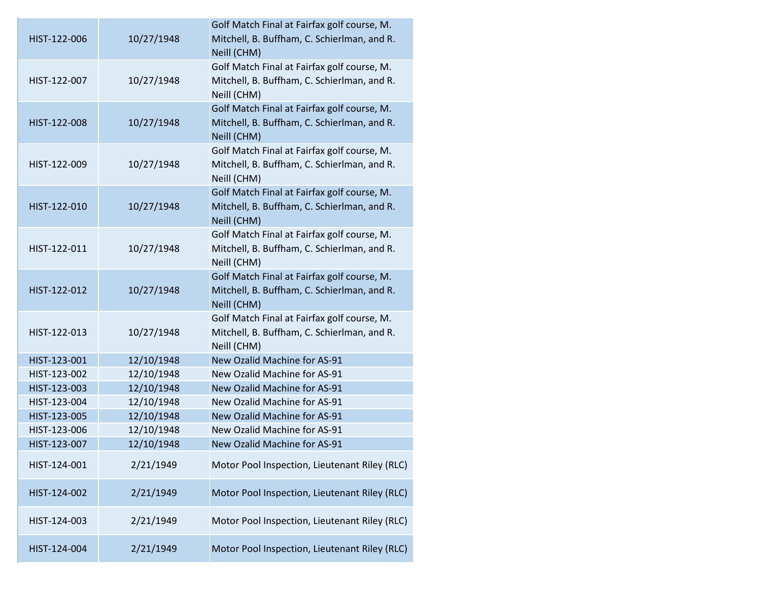| HIST-122-006 | 10/27/1948 | Golf Match Final at Fairfax golf course, M.<br>Mitchell, B. Buffham, C. Schierlman, and R.<br>Neill (CHM) |
|--------------|------------|-----------------------------------------------------------------------------------------------------------|
| HIST-122-007 | 10/27/1948 | Golf Match Final at Fairfax golf course, M.<br>Mitchell, B. Buffham, C. Schierlman, and R.<br>Neill (CHM) |
| HIST-122-008 | 10/27/1948 | Golf Match Final at Fairfax golf course, M.<br>Mitchell, B. Buffham, C. Schierlman, and R.<br>Neill (CHM) |
| HIST-122-009 | 10/27/1948 | Golf Match Final at Fairfax golf course, M.<br>Mitchell, B. Buffham, C. Schierlman, and R.<br>Neill (CHM) |
| HIST-122-010 | 10/27/1948 | Golf Match Final at Fairfax golf course, M.<br>Mitchell, B. Buffham, C. Schierlman, and R.<br>Neill (CHM) |
| HIST-122-011 | 10/27/1948 | Golf Match Final at Fairfax golf course, M.<br>Mitchell, B. Buffham, C. Schierlman, and R.<br>Neill (CHM) |
| HIST-122-012 | 10/27/1948 | Golf Match Final at Fairfax golf course, M.<br>Mitchell, B. Buffham, C. Schierlman, and R.<br>Neill (CHM) |
| HIST-122-013 | 10/27/1948 | Golf Match Final at Fairfax golf course, M.<br>Mitchell, B. Buffham, C. Schierlman, and R.<br>Neill (CHM) |
| HIST-123-001 | 12/10/1948 | New Ozalid Machine for AS-91                                                                              |
| HIST-123-002 | 12/10/1948 | New Ozalid Machine for AS-91                                                                              |
| HIST-123-003 | 12/10/1948 | New Ozalid Machine for AS-91                                                                              |
| HIST-123-004 | 12/10/1948 | New Ozalid Machine for AS-91                                                                              |
| HIST-123-005 | 12/10/1948 | New Ozalid Machine for AS-91                                                                              |
| HIST-123-006 | 12/10/1948 | New Ozalid Machine for AS-91                                                                              |
| HIST-123-007 | 12/10/1948 | New Ozalid Machine for AS-91                                                                              |
| HIST-124-001 | 2/21/1949  | Motor Pool Inspection, Lieutenant Riley (RLC)                                                             |
| HIST-124-002 | 2/21/1949  | Motor Pool Inspection, Lieutenant Riley (RLC)                                                             |
| HIST-124-003 | 2/21/1949  | Motor Pool Inspection, Lieutenant Riley (RLC)                                                             |
| HIST-124-004 | 2/21/1949  | Motor Pool Inspection, Lieutenant Riley (RLC)                                                             |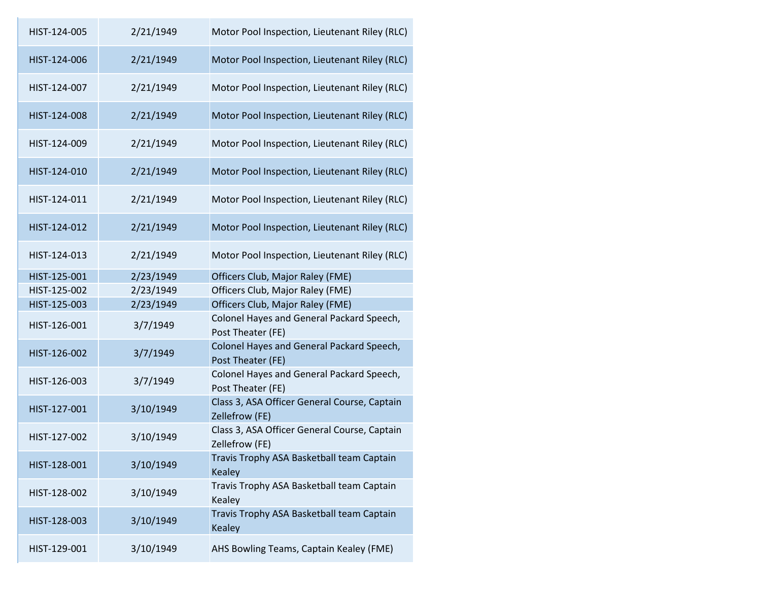| HIST-124-005 | 2/21/1949 | Motor Pool Inspection, Lieutenant Riley (RLC)                  |
|--------------|-----------|----------------------------------------------------------------|
| HIST-124-006 | 2/21/1949 | Motor Pool Inspection, Lieutenant Riley (RLC)                  |
| HIST-124-007 | 2/21/1949 | Motor Pool Inspection, Lieutenant Riley (RLC)                  |
| HIST-124-008 | 2/21/1949 | Motor Pool Inspection, Lieutenant Riley (RLC)                  |
| HIST-124-009 | 2/21/1949 | Motor Pool Inspection, Lieutenant Riley (RLC)                  |
| HIST-124-010 | 2/21/1949 | Motor Pool Inspection, Lieutenant Riley (RLC)                  |
| HIST-124-011 | 2/21/1949 | Motor Pool Inspection, Lieutenant Riley (RLC)                  |
| HIST-124-012 | 2/21/1949 | Motor Pool Inspection, Lieutenant Riley (RLC)                  |
| HIST-124-013 | 2/21/1949 | Motor Pool Inspection, Lieutenant Riley (RLC)                  |
| HIST-125-001 | 2/23/1949 | Officers Club, Major Raley (FME)                               |
| HIST-125-002 | 2/23/1949 | Officers Club, Major Raley (FME)                               |
| HIST-125-003 | 2/23/1949 | Officers Club, Major Raley (FME)                               |
| HIST-126-001 | 3/7/1949  | Colonel Hayes and General Packard Speech,<br>Post Theater (FE) |
| HIST-126-002 | 3/7/1949  | Colonel Hayes and General Packard Speech,<br>Post Theater (FE) |
| HIST-126-003 | 3/7/1949  | Colonel Hayes and General Packard Speech,<br>Post Theater (FE) |
| HIST-127-001 | 3/10/1949 | Class 3, ASA Officer General Course, Captain<br>Zellefrow (FE) |
| HIST-127-002 | 3/10/1949 | Class 3, ASA Officer General Course, Captain<br>Zellefrow (FE) |
| HIST-128-001 | 3/10/1949 | Travis Trophy ASA Basketball team Captain<br><b>Kealey</b>     |
| HIST-128-002 | 3/10/1949 | Travis Trophy ASA Basketball team Captain<br>Kealey            |
| HIST-128-003 | 3/10/1949 | Travis Trophy ASA Basketball team Captain<br><b>Kealey</b>     |
| HIST-129-001 | 3/10/1949 | AHS Bowling Teams, Captain Kealey (FME)                        |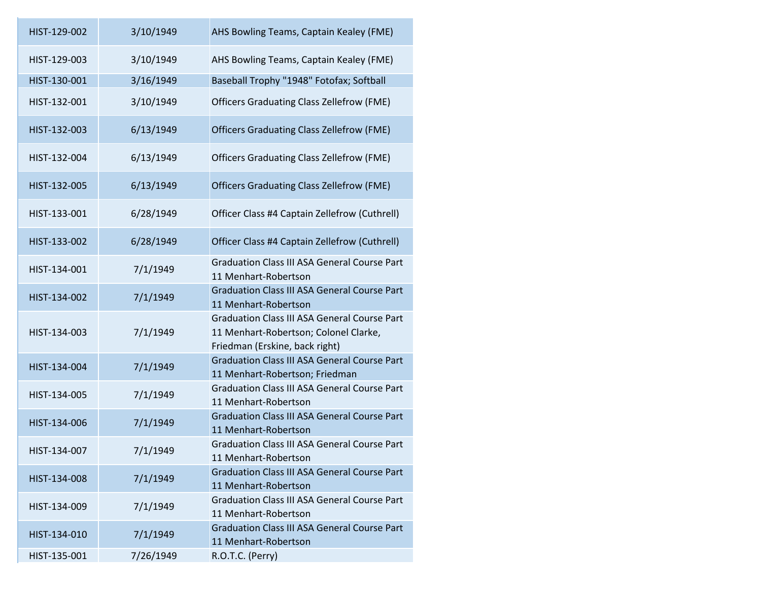| HIST-129-002 | 3/10/1949 | AHS Bowling Teams, Captain Kealey (FME)                                                                                        |
|--------------|-----------|--------------------------------------------------------------------------------------------------------------------------------|
| HIST-129-003 | 3/10/1949 | AHS Bowling Teams, Captain Kealey (FME)                                                                                        |
| HIST-130-001 | 3/16/1949 | Baseball Trophy "1948" Fotofax; Softball                                                                                       |
| HIST-132-001 | 3/10/1949 | <b>Officers Graduating Class Zellefrow (FME)</b>                                                                               |
| HIST-132-003 | 6/13/1949 | <b>Officers Graduating Class Zellefrow (FME)</b>                                                                               |
| HIST-132-004 | 6/13/1949 | <b>Officers Graduating Class Zellefrow (FME)</b>                                                                               |
| HIST-132-005 | 6/13/1949 | <b>Officers Graduating Class Zellefrow (FME)</b>                                                                               |
| HIST-133-001 | 6/28/1949 | Officer Class #4 Captain Zellefrow (Cuthrell)                                                                                  |
| HIST-133-002 | 6/28/1949 | Officer Class #4 Captain Zellefrow (Cuthrell)                                                                                  |
| HIST-134-001 | 7/1/1949  | <b>Graduation Class III ASA General Course Part</b><br>11 Menhart-Robertson                                                    |
| HIST-134-002 | 7/1/1949  | <b>Graduation Class III ASA General Course Part</b><br>11 Menhart-Robertson                                                    |
| HIST-134-003 | 7/1/1949  | <b>Graduation Class III ASA General Course Part</b><br>11 Menhart-Robertson; Colonel Clarke,<br>Friedman (Erskine, back right) |
| HIST-134-004 | 7/1/1949  | <b>Graduation Class III ASA General Course Part</b><br>11 Menhart-Robertson; Friedman                                          |
| HIST-134-005 | 7/1/1949  | <b>Graduation Class III ASA General Course Part</b><br>11 Menhart-Robertson                                                    |
| HIST-134-006 | 7/1/1949  | <b>Graduation Class III ASA General Course Part</b><br>11 Menhart-Robertson                                                    |
| HIST-134-007 | 7/1/1949  | <b>Graduation Class III ASA General Course Part</b><br>11 Menhart-Robertson                                                    |
| HIST-134-008 | 7/1/1949  | <b>Graduation Class III ASA General Course Part</b><br>11 Menhart-Robertson                                                    |
| HIST-134-009 | 7/1/1949  | <b>Graduation Class III ASA General Course Part</b><br>11 Menhart-Robertson                                                    |
| HIST-134-010 | 7/1/1949  | <b>Graduation Class III ASA General Course Part</b><br>11 Menhart-Robertson                                                    |
| HIST-135-001 | 7/26/1949 | R.O.T.C. (Perry)                                                                                                               |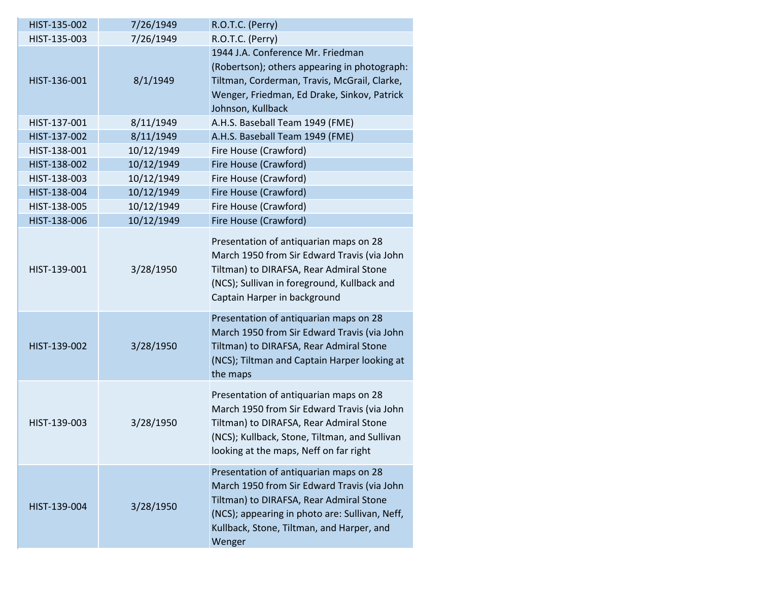| HIST-135-002 | 7/26/1949  | R.O.T.C. (Perry)                                                                                                                                                                                                                          |
|--------------|------------|-------------------------------------------------------------------------------------------------------------------------------------------------------------------------------------------------------------------------------------------|
| HIST-135-003 | 7/26/1949  | R.O.T.C. (Perry)                                                                                                                                                                                                                          |
|              |            | 1944 J.A. Conference Mr. Friedman                                                                                                                                                                                                         |
|              |            | (Robertson); others appearing in photograph:                                                                                                                                                                                              |
| HIST-136-001 | 8/1/1949   | Tiltman, Corderman, Travis, McGrail, Clarke,                                                                                                                                                                                              |
|              |            | Wenger, Friedman, Ed Drake, Sinkov, Patrick                                                                                                                                                                                               |
|              |            | Johnson, Kullback                                                                                                                                                                                                                         |
| HIST-137-001 | 8/11/1949  | A.H.S. Baseball Team 1949 (FME)                                                                                                                                                                                                           |
| HIST-137-002 | 8/11/1949  | A.H.S. Baseball Team 1949 (FME)                                                                                                                                                                                                           |
| HIST-138-001 | 10/12/1949 | Fire House (Crawford)                                                                                                                                                                                                                     |
| HIST-138-002 | 10/12/1949 | Fire House (Crawford)                                                                                                                                                                                                                     |
| HIST-138-003 | 10/12/1949 | Fire House (Crawford)                                                                                                                                                                                                                     |
| HIST-138-004 | 10/12/1949 | Fire House (Crawford)                                                                                                                                                                                                                     |
| HIST-138-005 | 10/12/1949 | Fire House (Crawford)                                                                                                                                                                                                                     |
| HIST-138-006 | 10/12/1949 | Fire House (Crawford)                                                                                                                                                                                                                     |
| HIST-139-001 | 3/28/1950  | Presentation of antiquarian maps on 28<br>March 1950 from Sir Edward Travis (via John<br>Tiltman) to DIRAFSA, Rear Admiral Stone<br>(NCS); Sullivan in foreground, Kullback and<br>Captain Harper in background                           |
| HIST-139-002 | 3/28/1950  | Presentation of antiquarian maps on 28<br>March 1950 from Sir Edward Travis (via John<br>Tiltman) to DIRAFSA, Rear Admiral Stone<br>(NCS); Tiltman and Captain Harper looking at<br>the maps                                              |
| HIST-139-003 | 3/28/1950  | Presentation of antiquarian maps on 28<br>March 1950 from Sir Edward Travis (via John<br>Tiltman) to DIRAFSA, Rear Admiral Stone<br>(NCS); Kullback, Stone, Tiltman, and Sullivan<br>looking at the maps, Neff on far right               |
| HIST-139-004 | 3/28/1950  | Presentation of antiquarian maps on 28<br>March 1950 from Sir Edward Travis (via John<br>Tiltman) to DIRAFSA, Rear Admiral Stone<br>(NCS); appearing in photo are: Sullivan, Neff,<br>Kullback, Stone, Tiltman, and Harper, and<br>Wenger |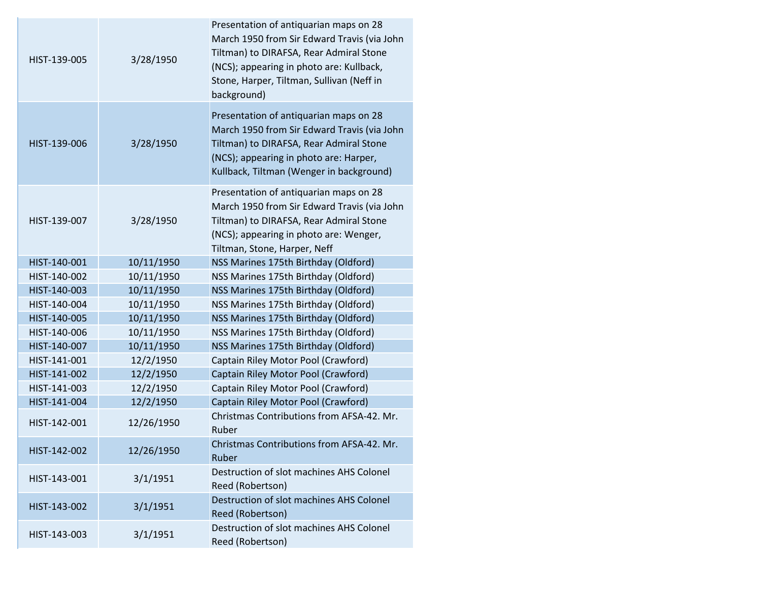| HIST-139-005 | 3/28/1950  | Presentation of antiquarian maps on 28<br>March 1950 from Sir Edward Travis (via John<br>Tiltman) to DIRAFSA, Rear Admiral Stone<br>(NCS); appearing in photo are: Kullback,<br>Stone, Harper, Tiltman, Sullivan (Neff in<br>background) |
|--------------|------------|------------------------------------------------------------------------------------------------------------------------------------------------------------------------------------------------------------------------------------------|
| HIST-139-006 | 3/28/1950  | Presentation of antiquarian maps on 28<br>March 1950 from Sir Edward Travis (via John<br>Tiltman) to DIRAFSA, Rear Admiral Stone<br>(NCS); appearing in photo are: Harper,<br>Kullback, Tiltman (Wenger in background)                   |
| HIST-139-007 | 3/28/1950  | Presentation of antiquarian maps on 28<br>March 1950 from Sir Edward Travis (via John<br>Tiltman) to DIRAFSA, Rear Admiral Stone<br>(NCS); appearing in photo are: Wenger,<br>Tiltman, Stone, Harper, Neff                               |
| HIST-140-001 | 10/11/1950 | NSS Marines 175th Birthday (Oldford)                                                                                                                                                                                                     |
| HIST-140-002 | 10/11/1950 | NSS Marines 175th Birthday (Oldford)                                                                                                                                                                                                     |
| HIST-140-003 | 10/11/1950 | NSS Marines 175th Birthday (Oldford)                                                                                                                                                                                                     |
| HIST-140-004 | 10/11/1950 | NSS Marines 175th Birthday (Oldford)                                                                                                                                                                                                     |
| HIST-140-005 | 10/11/1950 | NSS Marines 175th Birthday (Oldford)                                                                                                                                                                                                     |
| HIST-140-006 | 10/11/1950 | NSS Marines 175th Birthday (Oldford)                                                                                                                                                                                                     |
| HIST-140-007 | 10/11/1950 | NSS Marines 175th Birthday (Oldford)                                                                                                                                                                                                     |
| HIST-141-001 | 12/2/1950  | Captain Riley Motor Pool (Crawford)                                                                                                                                                                                                      |
| HIST-141-002 | 12/2/1950  | Captain Riley Motor Pool (Crawford)                                                                                                                                                                                                      |
| HIST-141-003 | 12/2/1950  | Captain Riley Motor Pool (Crawford)                                                                                                                                                                                                      |
| HIST-141-004 | 12/2/1950  | Captain Riley Motor Pool (Crawford)                                                                                                                                                                                                      |
| HIST-142-001 | 12/26/1950 | Christmas Contributions from AFSA-42. Mr.<br>Ruber                                                                                                                                                                                       |
| HIST-142-002 | 12/26/1950 | Christmas Contributions from AFSA-42. Mr.<br>Ruber                                                                                                                                                                                       |
| HIST-143-001 | 3/1/1951   | Destruction of slot machines AHS Colonel<br>Reed (Robertson)                                                                                                                                                                             |
| HIST-143-002 | 3/1/1951   | Destruction of slot machines AHS Colonel<br>Reed (Robertson)                                                                                                                                                                             |
| HIST-143-003 | 3/1/1951   | Destruction of slot machines AHS Colonel<br>Reed (Robertson)                                                                                                                                                                             |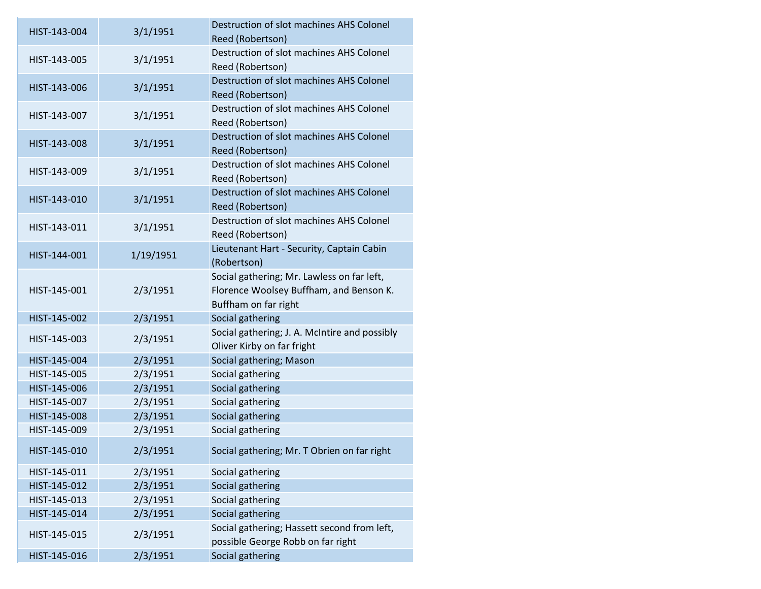| HIST-143-004 | 3/1/1951  | Destruction of slot machines AHS Colonel<br>Reed (Robertson)                                                  |
|--------------|-----------|---------------------------------------------------------------------------------------------------------------|
| HIST-143-005 | 3/1/1951  | Destruction of slot machines AHS Colonel<br>Reed (Robertson)                                                  |
| HIST-143-006 | 3/1/1951  | Destruction of slot machines AHS Colonel<br>Reed (Robertson)                                                  |
| HIST-143-007 | 3/1/1951  | Destruction of slot machines AHS Colonel<br>Reed (Robertson)                                                  |
| HIST-143-008 | 3/1/1951  | Destruction of slot machines AHS Colonel<br>Reed (Robertson)                                                  |
| HIST-143-009 | 3/1/1951  | Destruction of slot machines AHS Colonel<br>Reed (Robertson)                                                  |
| HIST-143-010 | 3/1/1951  | Destruction of slot machines AHS Colonel<br>Reed (Robertson)                                                  |
| HIST-143-011 | 3/1/1951  | Destruction of slot machines AHS Colonel<br>Reed (Robertson)                                                  |
| HIST-144-001 | 1/19/1951 | Lieutenant Hart - Security, Captain Cabin<br>(Robertson)                                                      |
| HIST-145-001 | 2/3/1951  | Social gathering; Mr. Lawless on far left,<br>Florence Woolsey Buffham, and Benson K.<br>Buffham on far right |
| HIST-145-002 | 2/3/1951  | Social gathering                                                                                              |
| HIST-145-003 | 2/3/1951  | Social gathering; J. A. McIntire and possibly<br>Oliver Kirby on far fright                                   |
| HIST-145-004 | 2/3/1951  | Social gathering; Mason                                                                                       |
| HIST-145-005 | 2/3/1951  | Social gathering                                                                                              |
| HIST-145-006 | 2/3/1951  | Social gathering                                                                                              |
| HIST-145-007 | 2/3/1951  | Social gathering                                                                                              |
| HIST-145-008 | 2/3/1951  | Social gathering                                                                                              |
| HIST-145-009 | 2/3/1951  | Social gathering                                                                                              |
| HIST-145-010 | 2/3/1951  | Social gathering; Mr. T Obrien on far right                                                                   |
| HIST-145-011 | 2/3/1951  | Social gathering                                                                                              |
| HIST-145-012 | 2/3/1951  | Social gathering                                                                                              |
| HIST-145-013 | 2/3/1951  | Social gathering                                                                                              |
| HIST-145-014 | 2/3/1951  | Social gathering                                                                                              |
| HIST-145-015 | 2/3/1951  | Social gathering; Hassett second from left,<br>possible George Robb on far right                              |
| HIST-145-016 | 2/3/1951  | Social gathering                                                                                              |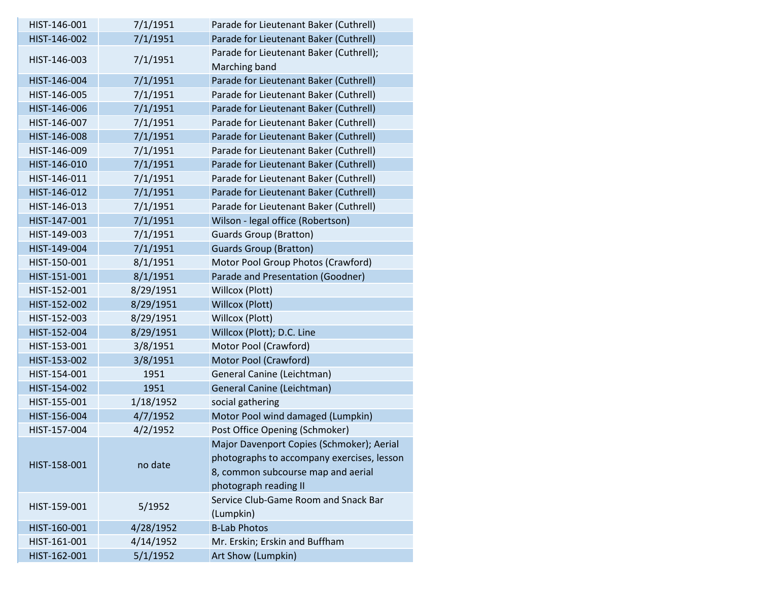| HIST-146-001 | 7/1/1951  | Parade for Lieutenant Baker (Cuthrell)     |
|--------------|-----------|--------------------------------------------|
| HIST-146-002 | 7/1/1951  | Parade for Lieutenant Baker (Cuthrell)     |
| HIST-146-003 | 7/1/1951  | Parade for Lieutenant Baker (Cuthrell);    |
|              |           | Marching band                              |
| HIST-146-004 | 7/1/1951  | Parade for Lieutenant Baker (Cuthrell)     |
| HIST-146-005 | 7/1/1951  | Parade for Lieutenant Baker (Cuthrell)     |
| HIST-146-006 | 7/1/1951  | Parade for Lieutenant Baker (Cuthrell)     |
| HIST-146-007 | 7/1/1951  | Parade for Lieutenant Baker (Cuthrell)     |
| HIST-146-008 | 7/1/1951  | Parade for Lieutenant Baker (Cuthrell)     |
| HIST-146-009 | 7/1/1951  | Parade for Lieutenant Baker (Cuthrell)     |
| HIST-146-010 | 7/1/1951  | Parade for Lieutenant Baker (Cuthrell)     |
| HIST-146-011 | 7/1/1951  | Parade for Lieutenant Baker (Cuthrell)     |
| HIST-146-012 | 7/1/1951  | Parade for Lieutenant Baker (Cuthrell)     |
| HIST-146-013 | 7/1/1951  | Parade for Lieutenant Baker (Cuthrell)     |
| HIST-147-001 | 7/1/1951  | Wilson - legal office (Robertson)          |
| HIST-149-003 | 7/1/1951  | <b>Guards Group (Bratton)</b>              |
| HIST-149-004 | 7/1/1951  | <b>Guards Group (Bratton)</b>              |
| HIST-150-001 | 8/1/1951  | Motor Pool Group Photos (Crawford)         |
| HIST-151-001 | 8/1/1951  | Parade and Presentation (Goodner)          |
| HIST-152-001 | 8/29/1951 | Willcox (Plott)                            |
| HIST-152-002 | 8/29/1951 | Willcox (Plott)                            |
| HIST-152-003 | 8/29/1951 | Willcox (Plott)                            |
| HIST-152-004 | 8/29/1951 | Willcox (Plott); D.C. Line                 |
| HIST-153-001 | 3/8/1951  | Motor Pool (Crawford)                      |
| HIST-153-002 | 3/8/1951  | Motor Pool (Crawford)                      |
| HIST-154-001 | 1951      | General Canine (Leichtman)                 |
| HIST-154-002 | 1951      | General Canine (Leichtman)                 |
| HIST-155-001 | 1/18/1952 | social gathering                           |
| HIST-156-004 | 4/7/1952  | Motor Pool wind damaged (Lumpkin)          |
| HIST-157-004 | 4/2/1952  | Post Office Opening (Schmoker)             |
|              |           | Major Davenport Copies (Schmoker); Aerial  |
| HIST-158-001 | no date   | photographs to accompany exercises, lesson |
|              |           | 8, common subcourse map and aerial         |
|              |           | photograph reading II                      |
|              |           | Service Club-Game Room and Snack Bar       |
| HIST-159-001 | 5/1952    | (Lumpkin)                                  |
| HIST-160-001 | 4/28/1952 | <b>B-Lab Photos</b>                        |
| HIST-161-001 | 4/14/1952 | Mr. Erskin; Erskin and Buffham             |
| HIST-162-001 | 5/1/1952  | Art Show (Lumpkin)                         |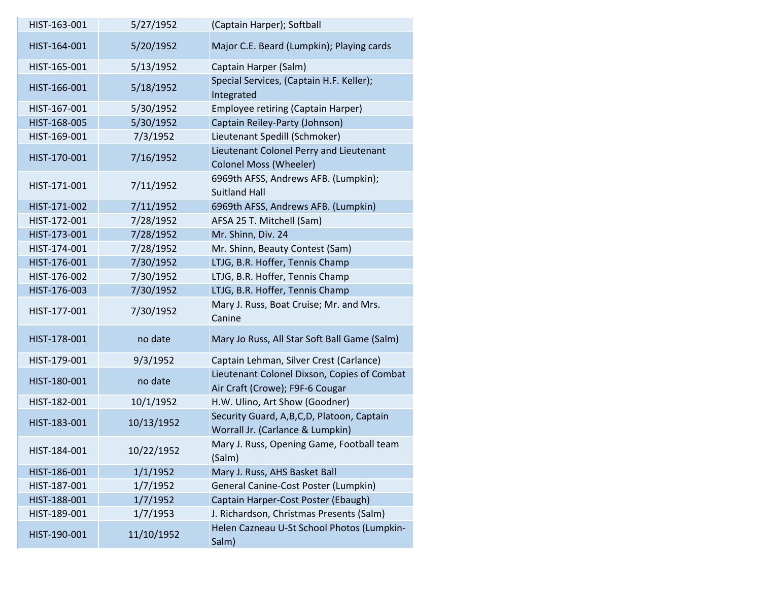| HIST-163-001 | 5/27/1952  | (Captain Harper); Softball                                                     |
|--------------|------------|--------------------------------------------------------------------------------|
| HIST-164-001 | 5/20/1952  | Major C.E. Beard (Lumpkin); Playing cards                                      |
| HIST-165-001 | 5/13/1952  | Captain Harper (Salm)                                                          |
| HIST-166-001 | 5/18/1952  | Special Services, (Captain H.F. Keller);<br>Integrated                         |
| HIST-167-001 | 5/30/1952  | <b>Employee retiring (Captain Harper)</b>                                      |
| HIST-168-005 | 5/30/1952  | Captain Reiley-Party (Johnson)                                                 |
| HIST-169-001 | 7/3/1952   | Lieutenant Spedill (Schmoker)                                                  |
| HIST-170-001 | 7/16/1952  | Lieutenant Colonel Perry and Lieutenant<br><b>Colonel Moss (Wheeler)</b>       |
| HIST-171-001 | 7/11/1952  | 6969th AFSS, Andrews AFB. (Lumpkin);<br><b>Suitland Hall</b>                   |
| HIST-171-002 | 7/11/1952  | 6969th AFSS, Andrews AFB. (Lumpkin)                                            |
| HIST-172-001 | 7/28/1952  | AFSA 25 T. Mitchell (Sam)                                                      |
| HIST-173-001 | 7/28/1952  | Mr. Shinn, Div. 24                                                             |
| HIST-174-001 | 7/28/1952  | Mr. Shinn, Beauty Contest (Sam)                                                |
| HIST-176-001 | 7/30/1952  | LTJG, B.R. Hoffer, Tennis Champ                                                |
| HIST-176-002 | 7/30/1952  | LTJG, B.R. Hoffer, Tennis Champ                                                |
| HIST-176-003 | 7/30/1952  | LTJG, B.R. Hoffer, Tennis Champ                                                |
| HIST-177-001 | 7/30/1952  | Mary J. Russ, Boat Cruise; Mr. and Mrs.<br>Canine                              |
| HIST-178-001 | no date    | Mary Jo Russ, All Star Soft Ball Game (Salm)                                   |
| HIST-179-001 | 9/3/1952   | Captain Lehman, Silver Crest (Carlance)                                        |
| HIST-180-001 | no date    | Lieutenant Colonel Dixson, Copies of Combat<br>Air Craft (Crowe); F9F-6 Cougar |
| HIST-182-001 | 10/1/1952  | H.W. Ulino, Art Show (Goodner)                                                 |
| HIST-183-001 | 10/13/1952 | Security Guard, A,B,C,D, Platoon, Captain<br>Worrall Jr. (Carlance & Lumpkin)  |
| HIST-184-001 | 10/22/1952 | Mary J. Russ, Opening Game, Football team<br>(Salm)                            |
| HIST-186-001 | 1/1/1952   | Mary J. Russ, AHS Basket Ball                                                  |
| HIST-187-001 | 1/7/1952   | General Canine-Cost Poster (Lumpkin)                                           |
| HIST-188-001 | 1/7/1952   | Captain Harper-Cost Poster (Ebaugh)                                            |
| HIST-189-001 | 1/7/1953   | J. Richardson, Christmas Presents (Salm)                                       |
| HIST-190-001 | 11/10/1952 | Helen Cazneau U-St School Photos (Lumpkin-<br>Salm)                            |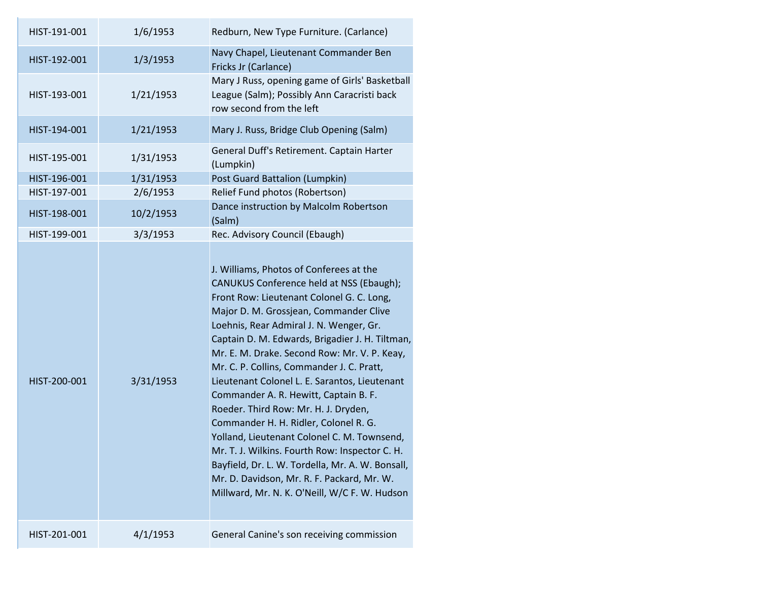| HIST-191-001 | 1/6/1953  | Redburn, New Type Furniture. (Carlance)                                                                                                                                                                                                                                                                                                                                                                                                                                                                                                                                                                                                                                                                                                                                                              |
|--------------|-----------|------------------------------------------------------------------------------------------------------------------------------------------------------------------------------------------------------------------------------------------------------------------------------------------------------------------------------------------------------------------------------------------------------------------------------------------------------------------------------------------------------------------------------------------------------------------------------------------------------------------------------------------------------------------------------------------------------------------------------------------------------------------------------------------------------|
| HIST-192-001 | 1/3/1953  | Navy Chapel, Lieutenant Commander Ben<br>Fricks Jr (Carlance)                                                                                                                                                                                                                                                                                                                                                                                                                                                                                                                                                                                                                                                                                                                                        |
| HIST-193-001 | 1/21/1953 | Mary J Russ, opening game of Girls' Basketball<br>League (Salm); Possibly Ann Caracristi back<br>row second from the left                                                                                                                                                                                                                                                                                                                                                                                                                                                                                                                                                                                                                                                                            |
| HIST-194-001 | 1/21/1953 | Mary J. Russ, Bridge Club Opening (Salm)                                                                                                                                                                                                                                                                                                                                                                                                                                                                                                                                                                                                                                                                                                                                                             |
| HIST-195-001 | 1/31/1953 | General Duff's Retirement. Captain Harter<br>(Lumpkin)                                                                                                                                                                                                                                                                                                                                                                                                                                                                                                                                                                                                                                                                                                                                               |
| HIST-196-001 | 1/31/1953 | Post Guard Battalion (Lumpkin)                                                                                                                                                                                                                                                                                                                                                                                                                                                                                                                                                                                                                                                                                                                                                                       |
| HIST-197-001 | 2/6/1953  | Relief Fund photos (Robertson)                                                                                                                                                                                                                                                                                                                                                                                                                                                                                                                                                                                                                                                                                                                                                                       |
| HIST-198-001 | 10/2/1953 | Dance instruction by Malcolm Robertson<br>(Salm)                                                                                                                                                                                                                                                                                                                                                                                                                                                                                                                                                                                                                                                                                                                                                     |
| HIST-199-001 | 3/3/1953  | Rec. Advisory Council (Ebaugh)                                                                                                                                                                                                                                                                                                                                                                                                                                                                                                                                                                                                                                                                                                                                                                       |
| HIST-200-001 | 3/31/1953 | J. Williams, Photos of Conferees at the<br>CANUKUS Conference held at NSS (Ebaugh);<br>Front Row: Lieutenant Colonel G. C. Long,<br>Major D. M. Grossjean, Commander Clive<br>Loehnis, Rear Admiral J. N. Wenger, Gr.<br>Captain D. M. Edwards, Brigadier J. H. Tiltman,<br>Mr. E. M. Drake. Second Row: Mr. V. P. Keay,<br>Mr. C. P. Collins, Commander J. C. Pratt,<br>Lieutenant Colonel L. E. Sarantos, Lieutenant<br>Commander A. R. Hewitt, Captain B. F.<br>Roeder. Third Row: Mr. H. J. Dryden,<br>Commander H. H. Ridler, Colonel R. G.<br>Yolland, Lieutenant Colonel C. M. Townsend,<br>Mr. T. J. Wilkins. Fourth Row: Inspector C. H.<br>Bayfield, Dr. L. W. Tordella, Mr. A. W. Bonsall,<br>Mr. D. Davidson, Mr. R. F. Packard, Mr. W.<br>Millward, Mr. N. K. O'Neill, W/C F. W. Hudson |
| HIST-201-001 | 4/1/1953  | General Canine's son receiving commission                                                                                                                                                                                                                                                                                                                                                                                                                                                                                                                                                                                                                                                                                                                                                            |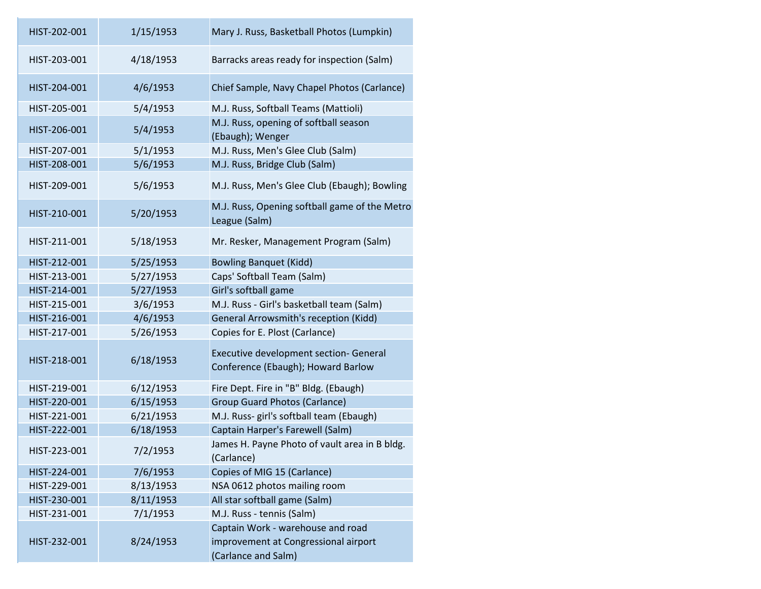| HIST-202-001 | 1/15/1953 | Mary J. Russ, Basketball Photos (Lumpkin)                                                        |
|--------------|-----------|--------------------------------------------------------------------------------------------------|
| HIST-203-001 | 4/18/1953 | Barracks areas ready for inspection (Salm)                                                       |
| HIST-204-001 | 4/6/1953  | Chief Sample, Navy Chapel Photos (Carlance)                                                      |
| HIST-205-001 | 5/4/1953  | M.J. Russ, Softball Teams (Mattioli)                                                             |
| HIST-206-001 | 5/4/1953  | M.J. Russ, opening of softball season<br>(Ebaugh); Wenger                                        |
| HIST-207-001 | 5/1/1953  | M.J. Russ, Men's Glee Club (Salm)                                                                |
| HIST-208-001 | 5/6/1953  | M.J. Russ, Bridge Club (Salm)                                                                    |
| HIST-209-001 | 5/6/1953  | M.J. Russ, Men's Glee Club (Ebaugh); Bowling                                                     |
| HIST-210-001 | 5/20/1953 | M.J. Russ, Opening softball game of the Metro<br>League (Salm)                                   |
| HIST-211-001 | 5/18/1953 | Mr. Resker, Management Program (Salm)                                                            |
| HIST-212-001 | 5/25/1953 | <b>Bowling Banquet (Kidd)</b>                                                                    |
| HIST-213-001 | 5/27/1953 | Caps' Softball Team (Salm)                                                                       |
| HIST-214-001 | 5/27/1953 | Girl's softball game                                                                             |
| HIST-215-001 | 3/6/1953  | M.J. Russ - Girl's basketball team (Salm)                                                        |
| HIST-216-001 | 4/6/1953  | <b>General Arrowsmith's reception (Kidd)</b>                                                     |
| HIST-217-001 | 5/26/1953 | Copies for E. Plost (Carlance)                                                                   |
| HIST-218-001 | 6/18/1953 | <b>Executive development section- General</b><br>Conference (Ebaugh); Howard Barlow              |
| HIST-219-001 | 6/12/1953 | Fire Dept. Fire in "B" Bldg. (Ebaugh)                                                            |
| HIST-220-001 | 6/15/1953 | <b>Group Guard Photos (Carlance)</b>                                                             |
| HIST-221-001 | 6/21/1953 | M.J. Russ- girl's softball team (Ebaugh)                                                         |
| HIST-222-001 | 6/18/1953 | Captain Harper's Farewell (Salm)                                                                 |
| HIST-223-001 | 7/2/1953  | James H. Payne Photo of vault area in B bldg.<br>(Carlance)                                      |
| HIST-224-001 | 7/6/1953  | Copies of MIG 15 (Carlance)                                                                      |
| HIST-229-001 | 8/13/1953 | NSA 0612 photos mailing room                                                                     |
| HIST-230-001 | 8/11/1953 | All star softball game (Salm)                                                                    |
| HIST-231-001 | 7/1/1953  | M.J. Russ - tennis (Salm)                                                                        |
| HIST-232-001 | 8/24/1953 | Captain Work - warehouse and road<br>improvement at Congressional airport<br>(Carlance and Salm) |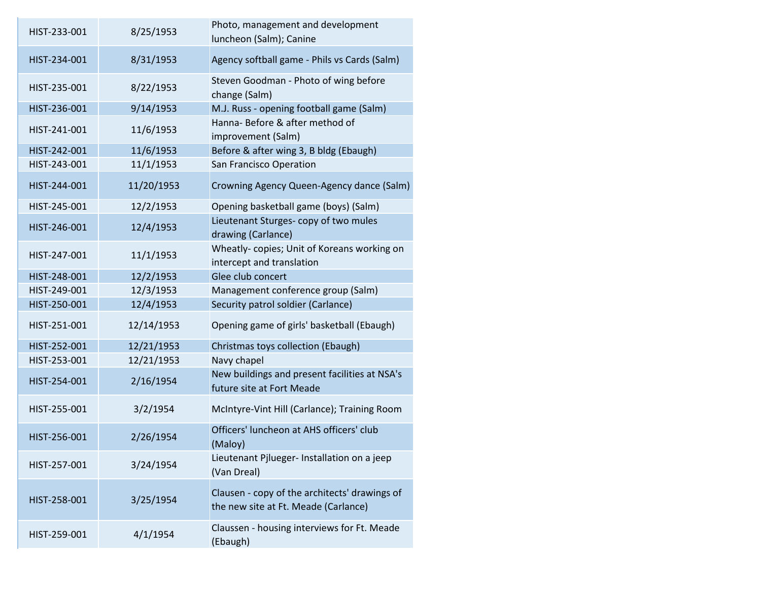| HIST-233-001 | 8/25/1953  | Photo, management and development<br>luncheon (Salm); Canine                          |
|--------------|------------|---------------------------------------------------------------------------------------|
| HIST-234-001 | 8/31/1953  | Agency softball game - Phils vs Cards (Salm)                                          |
| HIST-235-001 | 8/22/1953  | Steven Goodman - Photo of wing before<br>change (Salm)                                |
| HIST-236-001 | 9/14/1953  | M.J. Russ - opening football game (Salm)                                              |
| HIST-241-001 | 11/6/1953  | Hanna- Before & after method of<br>improvement (Salm)                                 |
| HIST-242-001 | 11/6/1953  | Before & after wing 3, B bldg (Ebaugh)                                                |
| HIST-243-001 | 11/1/1953  | San Francisco Operation                                                               |
| HIST-244-001 | 11/20/1953 | Crowning Agency Queen-Agency dance (Salm)                                             |
| HIST-245-001 | 12/2/1953  | Opening basketball game (boys) (Salm)                                                 |
| HIST-246-001 | 12/4/1953  | Lieutenant Sturges- copy of two mules<br>drawing (Carlance)                           |
| HIST-247-001 | 11/1/1953  | Wheatly-copies; Unit of Koreans working on<br>intercept and translation               |
| HIST-248-001 | 12/2/1953  | Glee club concert                                                                     |
| HIST-249-001 | 12/3/1953  | Management conference group (Salm)                                                    |
| HIST-250-001 | 12/4/1953  | Security patrol soldier (Carlance)                                                    |
| HIST-251-001 | 12/14/1953 | Opening game of girls' basketball (Ebaugh)                                            |
| HIST-252-001 | 12/21/1953 | Christmas toys collection (Ebaugh)                                                    |
| HIST-253-001 | 12/21/1953 | Navy chapel                                                                           |
| HIST-254-001 | 2/16/1954  | New buildings and present facilities at NSA's<br>future site at Fort Meade            |
| HIST-255-001 | 3/2/1954   | McIntyre-Vint Hill (Carlance); Training Room                                          |
| HIST-256-001 | 2/26/1954  | Officers' luncheon at AHS officers' club<br>(Maloy)                                   |
| HIST-257-001 | 3/24/1954  | Lieutenant Pjlueger- Installation on a jeep<br>(Van Dreal)                            |
| HIST-258-001 | 3/25/1954  | Clausen - copy of the architects' drawings of<br>the new site at Ft. Meade (Carlance) |
| HIST-259-001 | 4/1/1954   | Claussen - housing interviews for Ft. Meade<br>(Ebaugh)                               |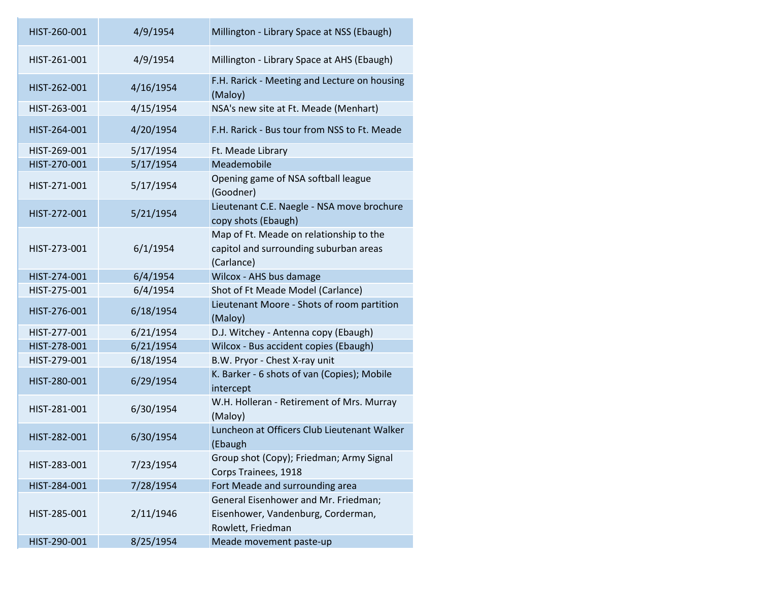| HIST-260-001 | 4/9/1954  | Millington - Library Space at NSS (Ebaugh)                                                      |
|--------------|-----------|-------------------------------------------------------------------------------------------------|
| HIST-261-001 | 4/9/1954  | Millington - Library Space at AHS (Ebaugh)                                                      |
| HIST-262-001 | 4/16/1954 | F.H. Rarick - Meeting and Lecture on housing<br>(Maloy)                                         |
| HIST-263-001 | 4/15/1954 | NSA's new site at Ft. Meade (Menhart)                                                           |
| HIST-264-001 | 4/20/1954 | F.H. Rarick - Bus tour from NSS to Ft. Meade                                                    |
| HIST-269-001 | 5/17/1954 | Ft. Meade Library                                                                               |
| HIST-270-001 | 5/17/1954 | Meademobile                                                                                     |
| HIST-271-001 | 5/17/1954 | Opening game of NSA softball league<br>(Goodner)                                                |
| HIST-272-001 | 5/21/1954 | Lieutenant C.E. Naegle - NSA move brochure<br>copy shots (Ebaugh)                               |
| HIST-273-001 | 6/1/1954  | Map of Ft. Meade on relationship to the<br>capitol and surrounding suburban areas<br>(Carlance) |
| HIST-274-001 | 6/4/1954  | Wilcox - AHS bus damage                                                                         |
| HIST-275-001 | 6/4/1954  | Shot of Ft Meade Model (Carlance)                                                               |
| HIST-276-001 | 6/18/1954 | Lieutenant Moore - Shots of room partition<br>(Maloy)                                           |
| HIST-277-001 | 6/21/1954 | D.J. Witchey - Antenna copy (Ebaugh)                                                            |
| HIST-278-001 | 6/21/1954 | Wilcox - Bus accident copies (Ebaugh)                                                           |
| HIST-279-001 | 6/18/1954 | B.W. Pryor - Chest X-ray unit                                                                   |
| HIST-280-001 | 6/29/1954 | K. Barker - 6 shots of van (Copies); Mobile<br>intercept                                        |
| HIST-281-001 | 6/30/1954 | W.H. Holleran - Retirement of Mrs. Murray<br>(Maloy)                                            |
| HIST-282-001 | 6/30/1954 | Luncheon at Officers Club Lieutenant Walker<br>(Ebaugh                                          |
| HIST-283-001 | 7/23/1954 | Group shot (Copy); Friedman; Army Signal<br>Corps Trainees, 1918                                |
| HIST-284-001 | 7/28/1954 | Fort Meade and surrounding area                                                                 |
| HIST-285-001 | 2/11/1946 | General Eisenhower and Mr. Friedman;<br>Eisenhower, Vandenburg, Corderman,<br>Rowlett, Friedman |
| HIST-290-001 | 8/25/1954 | Meade movement paste-up                                                                         |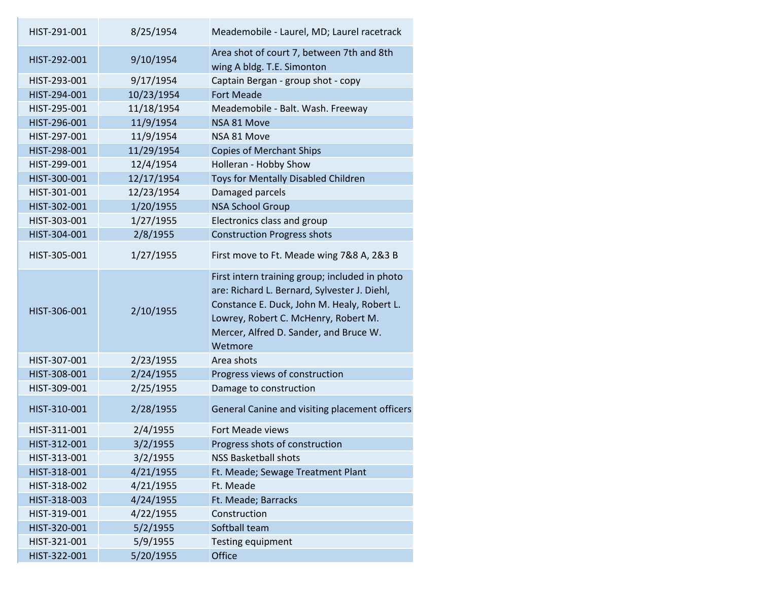| HIST-291-001 | 8/25/1954  | Meademobile - Laurel, MD; Laurel racetrack                                                                                                                                                                                                 |
|--------------|------------|--------------------------------------------------------------------------------------------------------------------------------------------------------------------------------------------------------------------------------------------|
| HIST-292-001 | 9/10/1954  | Area shot of court 7, between 7th and 8th<br>wing A bldg. T.E. Simonton                                                                                                                                                                    |
| HIST-293-001 | 9/17/1954  | Captain Bergan - group shot - copy                                                                                                                                                                                                         |
| HIST-294-001 | 10/23/1954 | <b>Fort Meade</b>                                                                                                                                                                                                                          |
| HIST-295-001 | 11/18/1954 | Meademobile - Balt. Wash. Freeway                                                                                                                                                                                                          |
| HIST-296-001 | 11/9/1954  | NSA 81 Move                                                                                                                                                                                                                                |
| HIST-297-001 | 11/9/1954  | NSA 81 Move                                                                                                                                                                                                                                |
| HIST-298-001 | 11/29/1954 | <b>Copies of Merchant Ships</b>                                                                                                                                                                                                            |
| HIST-299-001 | 12/4/1954  | Holleran - Hobby Show                                                                                                                                                                                                                      |
| HIST-300-001 | 12/17/1954 | Toys for Mentally Disabled Children                                                                                                                                                                                                        |
| HIST-301-001 | 12/23/1954 | Damaged parcels                                                                                                                                                                                                                            |
| HIST-302-001 | 1/20/1955  | <b>NSA School Group</b>                                                                                                                                                                                                                    |
| HIST-303-001 | 1/27/1955  | Electronics class and group                                                                                                                                                                                                                |
| HIST-304-001 | 2/8/1955   | <b>Construction Progress shots</b>                                                                                                                                                                                                         |
| HIST-305-001 | 1/27/1955  | First move to Ft. Meade wing 7&8 A, 2&3 B                                                                                                                                                                                                  |
| HIST-306-001 | 2/10/1955  | First intern training group; included in photo<br>are: Richard L. Bernard, Sylvester J. Diehl,<br>Constance E. Duck, John M. Healy, Robert L.<br>Lowrey, Robert C. McHenry, Robert M.<br>Mercer, Alfred D. Sander, and Bruce W.<br>Wetmore |
| HIST-307-001 | 2/23/1955  | Area shots                                                                                                                                                                                                                                 |
| HIST-308-001 | 2/24/1955  | Progress views of construction                                                                                                                                                                                                             |
| HIST-309-001 | 2/25/1955  | Damage to construction                                                                                                                                                                                                                     |
| HIST-310-001 | 2/28/1955  | General Canine and visiting placement officers                                                                                                                                                                                             |
| HIST-311-001 | 2/4/1955   | <b>Fort Meade views</b>                                                                                                                                                                                                                    |
| HIST-312-001 | 3/2/1955   | Progress shots of construction                                                                                                                                                                                                             |
| HIST-313-001 | 3/2/1955   | <b>NSS Basketball shots</b>                                                                                                                                                                                                                |
| HIST-318-001 | 4/21/1955  | Ft. Meade; Sewage Treatment Plant                                                                                                                                                                                                          |
| HIST-318-002 | 4/21/1955  | Ft. Meade                                                                                                                                                                                                                                  |
| HIST-318-003 | 4/24/1955  | Ft. Meade; Barracks                                                                                                                                                                                                                        |
| HIST-319-001 | 4/22/1955  | Construction                                                                                                                                                                                                                               |
| HIST-320-001 | 5/2/1955   | Softball team                                                                                                                                                                                                                              |
| HIST-321-001 | 5/9/1955   | <b>Testing equipment</b>                                                                                                                                                                                                                   |
| HIST-322-001 | 5/20/1955  | Office                                                                                                                                                                                                                                     |